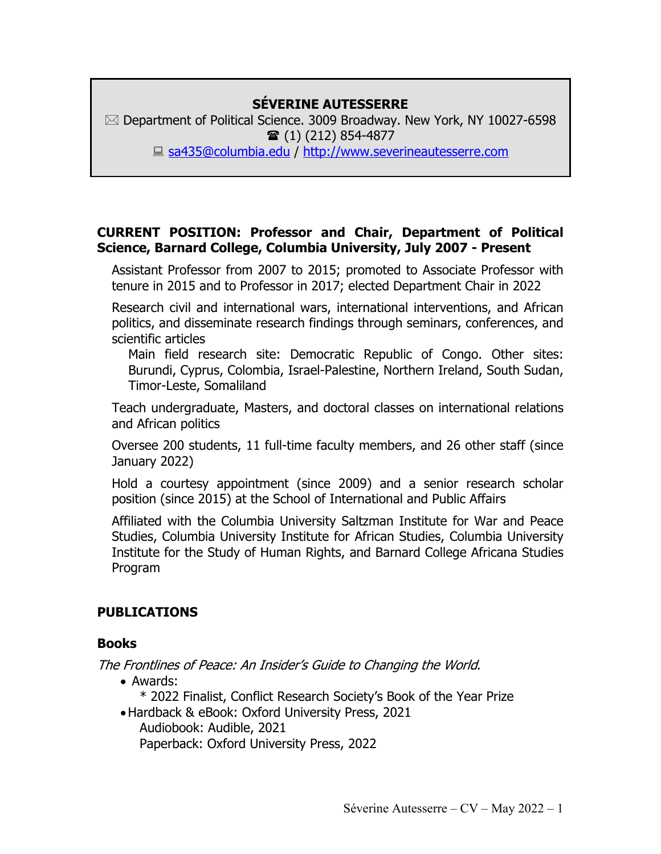## **SÉVERINE AUTESSERRE**

 $\boxtimes$  Department of Political Science. 3009 Broadway. New York, NY 10027-6598  $\hat{ }$  (1) (212) 854-4877 ■ sa435@columbia.edu / http://www.severineautesserre.com

### **CURRENT POSITION: Professor and Chair, Department of Political Science, Barnard College, Columbia University, July 2007 - Present**

Assistant Professor from 2007 to 2015; promoted to Associate Professor with tenure in 2015 and to Professor in 2017; elected Department Chair in 2022

Research civil and international wars, international interventions, and African politics, and disseminate research findings through seminars, conferences, and scientific articles

Main field research site: Democratic Republic of Congo. Other sites: Burundi, Cyprus, Colombia, Israel-Palestine, Northern Ireland, South Sudan, Timor-Leste, Somaliland

Teach undergraduate, Masters, and doctoral classes on international relations and African politics

Oversee 200 students, 11 full-time faculty members, and 26 other staff (since January 2022)

Hold a courtesy appointment (since 2009) and a senior research scholar position (since 2015) at the School of International and Public Affairs

Affiliated with the Columbia University Saltzman Institute for War and Peace Studies, Columbia University Institute for African Studies, Columbia University Institute for the Study of Human Rights, and Barnard College Africana Studies Program

## **PUBLICATIONS**

### **Books**

The Frontlines of Peace: An Insider's Guide to Changing the World.

• Awards:

\* 2022 Finalist, Conflict Research Society's Book of the Year Prize

•Hardback & eBook: Oxford University Press, 2021 Audiobook: Audible, 2021

Paperback: Oxford University Press, 2022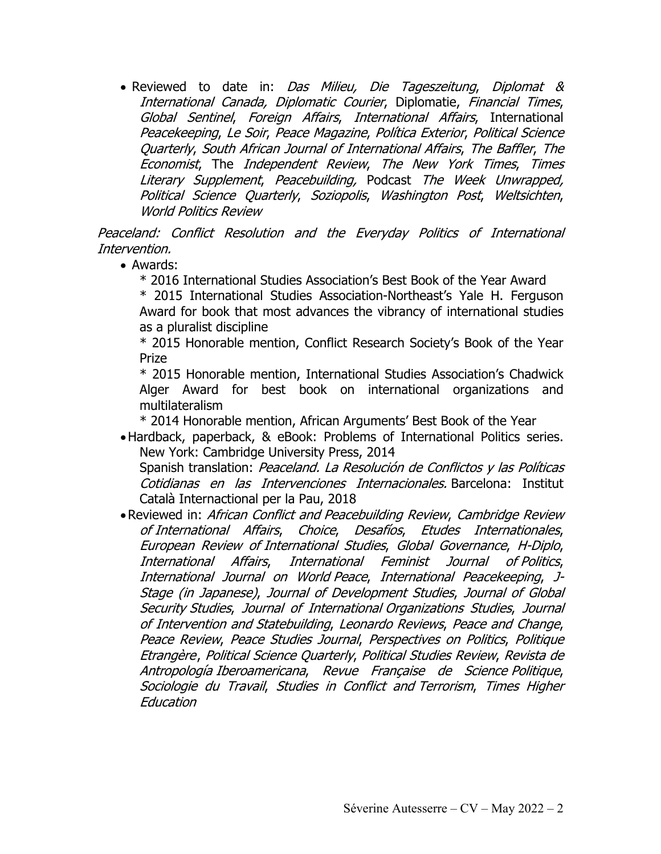• Reviewed to date in: Das Milieu, Die Tageszeitung, Diplomat & International Canada, Diplomatic Courier, Diplomatie, Financial Times, Global Sentinel, Foreign Affairs, International Affairs, International Peacekeeping, Le Soir, Peace Magazine, Política Exterior, Political Science Quarterly, South African Journal of International Affairs, The Baffler, The Economist, The Independent Review, The New York Times, Times Literary Supplement, Peacebuilding, Podcast The Week Unwrapped, Political Science Quarterly, Soziopolis, Washington Post, Weltsichten, World Politics Review

Peaceland: Conflict Resolution and the Everyday Politics of International Intervention.

• Awards:

\* 2016 International Studies Association's Best Book of the Year Award

\* 2015 International Studies Association-Northeast's Yale H. Ferguson Award for book that most advances the vibrancy of international studies as a pluralist discipline

\* 2015 Honorable mention, Conflict Research Society's Book of the Year Prize

\* 2015 Honorable mention, International Studies Association's Chadwick Alger Award for best book on international organizations and multilateralism

\* 2014 Honorable mention, African Arguments' Best Book of the Year

•Hardback, paperback, & eBook: Problems of International Politics series. New York: Cambridge University Press, 2014

Spanish translation: Peaceland. La Resolución de Conflictos y las Políticas Cotidianas en las Intervenciones Internacionales. Barcelona: Institut Català Internactional per la Pau, 2018

• Reviewed in: African Conflict and Peacebuilding Review, Cambridge Review of International Affairs, Choice, Desafíos, Etudes Internationales, European Review of International Studies, Global Governance, H-Diplo, International Affairs, International Feminist Journal of Politics, International Journal on World Peace, International Peacekeeping, J-Stage (in Japanese), Journal of Development Studies, Journal of Global Security Studies, Journal of International Organizations Studies, Journal of Intervention and Statebuilding, Leonardo Reviews, Peace and Change, Peace Review, Peace Studies Journal, Perspectives on Politics, Politique Etrangère, Political Science Quarterly, Political Studies Review, Revista de Antropología Iberoamericana, Revue Française de Science Politique, Sociologie du Travail, Studies in Conflict and Terrorism, Times Higher Education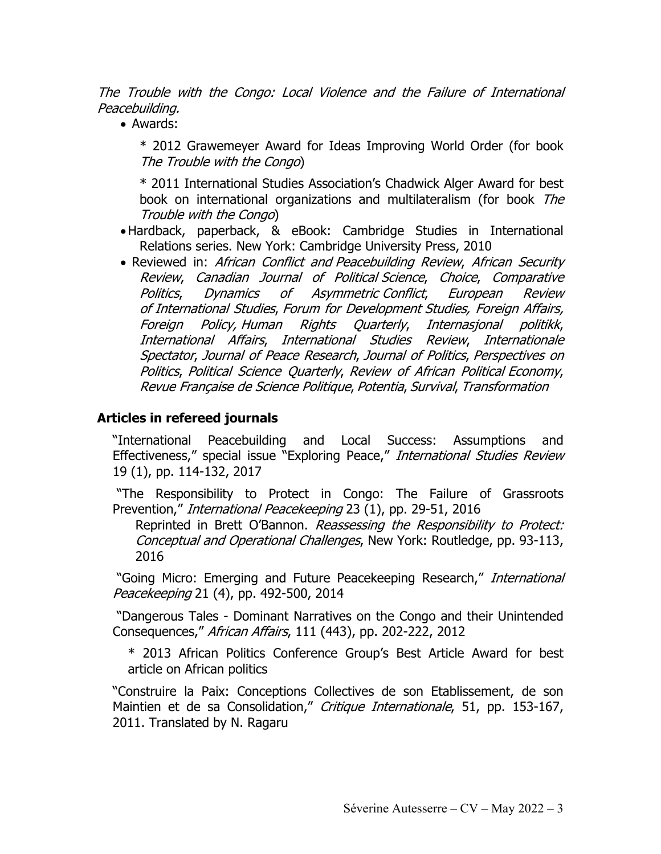The Trouble with the Congo: Local Violence and the Failure of International Peacebuilding.

• Awards:

\* 2012 Grawemeyer Award for Ideas Improving World Order (for book The Trouble with the Congo)

\* 2011 International Studies Association's Chadwick Alger Award for best book on international organizations and multilateralism (for book The Trouble with the Congo)

- •Hardback, paperback, & eBook: Cambridge Studies in International Relations series. New York: Cambridge University Press, 2010
- Reviewed in: African Conflict and Peacebuilding Review, African Security Review, Canadian Journal of Political Science, Choice, Comparative Politics, Dynamics of Asymmetric Conflict, European Review of International Studies, Forum for Development Studies, Foreign Affairs, Foreign Policy, Human Rights Quarterly, Internasjonal politikk, International Affairs, International Studies Review, Internationale Spectator, Journal of Peace Research, Journal of Politics, Perspectives on Politics, Political Science Quarterly, Review of African Political Economy, Revue Française de Science Politique, Potentia, Survival, Transformation

### **Articles in refereed journals**

"International Peacebuilding and Local Success: Assumptions and Effectiveness," special issue "Exploring Peace," International Studies Review 19 (1), pp. 114-132, 2017

"The Responsibility to Protect in Congo: The Failure of Grassroots Prevention," *International Peacekeeping* 23 (1), pp. 29-51, 2016

Reprinted in Brett O'Bannon. Reassessing the Responsibility to Protect: Conceptual and Operational Challenges, New York: Routledge, pp. 93-113, 2016

"Going Micro: Emerging and Future Peacekeeping Research," International Peacekeeping 21 (4), pp. 492-500, 2014

"Dangerous Tales - Dominant Narratives on the Congo and their Unintended Consequences," African Affairs, 111 (443), pp. 202-222, 2012

\* 2013 African Politics Conference Group's Best Article Award for best article on African politics

"Construire la Paix: Conceptions Collectives de son Etablissement, de son Maintien et de sa Consolidation," Critique Internationale, 51, pp. 153-167, 2011. Translated by N. Ragaru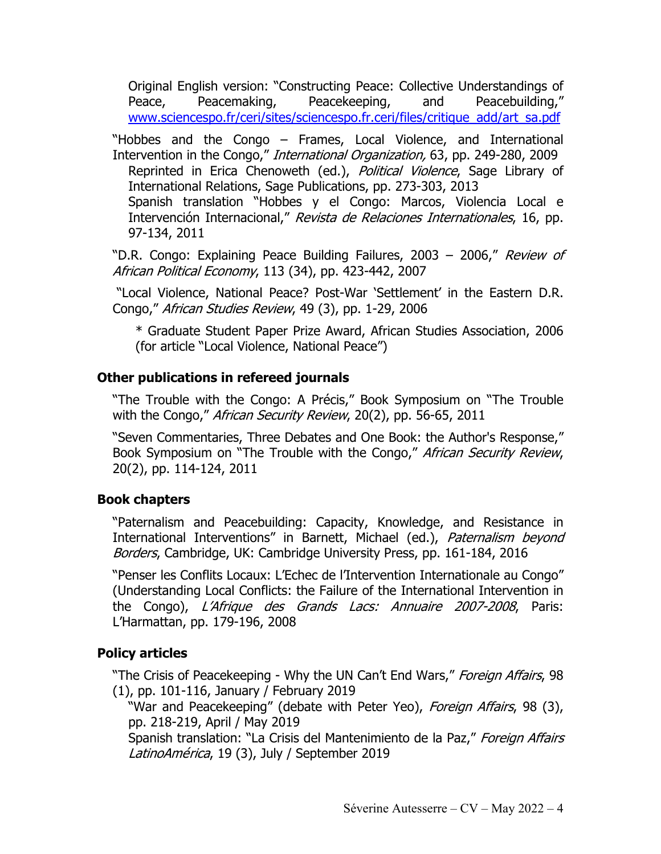Original English version: "Constructing Peace: Collective Understandings of Peace, Peacemaking, Peacekeeping, and Peacebuilding," www.sciencespo.fr/ceri/sites/sciencespo.fr.ceri/files/critique\_add/art\_sa.pdf

"Hobbes and the Congo – Frames, Local Violence, and International Intervention in the Congo," *International Organization*, 63, pp. 249-280, 2009 Reprinted in Erica Chenoweth (ed.), Political Violence, Sage Library of International Relations, Sage Publications, pp. 273-303, 2013 Spanish translation "Hobbes y el Congo: Marcos, Violencia Local e Intervención Internacional," Revista de Relaciones Internationales, 16, pp. 97-134, 2011

"D.R. Congo: Explaining Peace Building Failures, 2003 - 2006," Review of African Political Economy, 113 (34), pp. 423-442, 2007

"Local Violence, National Peace? Post-War 'Settlement' in the Eastern D.R. Congo," African Studies Review, 49 (3), pp. 1-29, 2006

\* Graduate Student Paper Prize Award, African Studies Association, 2006 (for article "Local Violence, National Peace")

## **Other publications in refereed journals**

"The Trouble with the Congo: A Précis," Book Symposium on "The Trouble with the Congo," African Security Review, 20(2), pp. 56-65, 2011

"Seven Commentaries, Three Debates and One Book: the Author's Response," Book Symposium on "The Trouble with the Congo," African Security Review, 20(2), pp. 114-124, 2011

### **Book chapters**

"Paternalism and Peacebuilding: Capacity, Knowledge, and Resistance in International Interventions" in Barnett, Michael (ed.), Paternalism beyond Borders, Cambridge, UK: Cambridge University Press, pp. 161-184, 2016

"Penser les Conflits Locaux: L'Echec de l'Intervention Internationale au Congo" (Understanding Local Conflicts: the Failure of the International Intervention in the Congo), L'Afrique des Grands Lacs: Annuaire 2007-2008, Paris: L'Harmattan, pp. 179-196, 2008

## **Policy articles**

"The Crisis of Peacekeeping - Why the UN Can't End Wars," Foreign Affairs, 98 (1), pp. 101-116, January / February 2019

"War and Peacekeeping" (debate with Peter Yeo), Foreign Affairs, 98 (3), pp. 218-219, April / May 2019

Spanish translation: "La Crisis del Mantenimiento de la Paz," Foreign Affairs LatinoAmérica, 19 (3), July / September 2019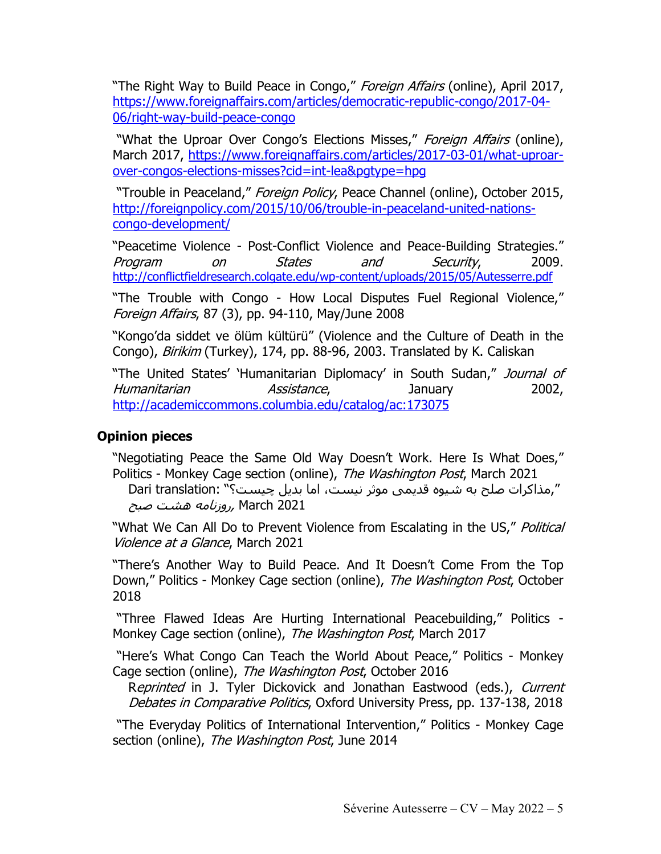"The Right Way to Build Peace in Congo," Foreign Affairs (online), April 2017, https://www.foreignaffairs.com/articles/democratic-republic-congo/2017-04- 06/right-way-build-peace-congo

"What the Uproar Over Congo's Elections Misses," Foreign Affairs (online), March 2017, https://www.foreignaffairs.com/articles/2017-03-01/what-uproarover-congos-elections-misses?cid=int-lea&pgtype=hpg

"Trouble in Peaceland," Foreign Policy, Peace Channel (online), October 2015, http://foreignpolicy.com/2015/10/06/trouble-in-peaceland-united-nationscongo-development/

"Peacetime Violence - Post-Conflict Violence and Peace-Building Strategies." Program on States and Security, 2009. http://conflictfieldresearch.colgate.edu/wp-content/uploads/2015/05/Autesserre.pdf

"The Trouble with Congo - How Local Disputes Fuel Regional Violence," Foreign Affairs, 87 (3), pp. 94-110, May/June 2008

"Kongo'da siddet ve ölüm kültürü" (Violence and the Culture of Death in the Congo), Birikim (Turkey), 174, pp. 88-96, 2003. Translated by K. Caliskan

"The United States' 'Humanitarian Diplomacy' in South Sudan," Journal of Humanitarian *Assistance*, January 2002, http://academiccommons.columbia.edu/catalog/ac:173075

### **Opinion pieces**

"Negotiating Peace the Same Old Way Doesn't Work. Here Is What Does," Politics - Monkey Cage section (online), The Washington Post, March 2021

0 ",مذاكرات صلح به شیوه قدیمی موثر نیست، اما بدیل چیست؟" :Dari translation 2021 March ,رو*زنامه هشت صبح* 

"What We Can All Do to Prevent Violence from Escalating in the US," Political Violence at a Glance, March 2021

"There's Another Way to Build Peace. And It Doesn't Come From the Top Down," Politics - Monkey Cage section (online), The Washington Post, October 2018

"Three Flawed Ideas Are Hurting International Peacebuilding," Politics - Monkey Cage section (online), The Washington Post, March 2017

"Here's What Congo Can Teach the World About Peace," Politics - Monkey Cage section (online), The Washington Post, October 2016

Reprinted in J. Tyler Dickovick and Jonathan Eastwood (eds.), Current Debates in Comparative Politics, Oxford University Press, pp. 137-138, 2018

"The Everyday Politics of International Intervention," Politics - Monkey Cage section (online), The Washington Post, June 2014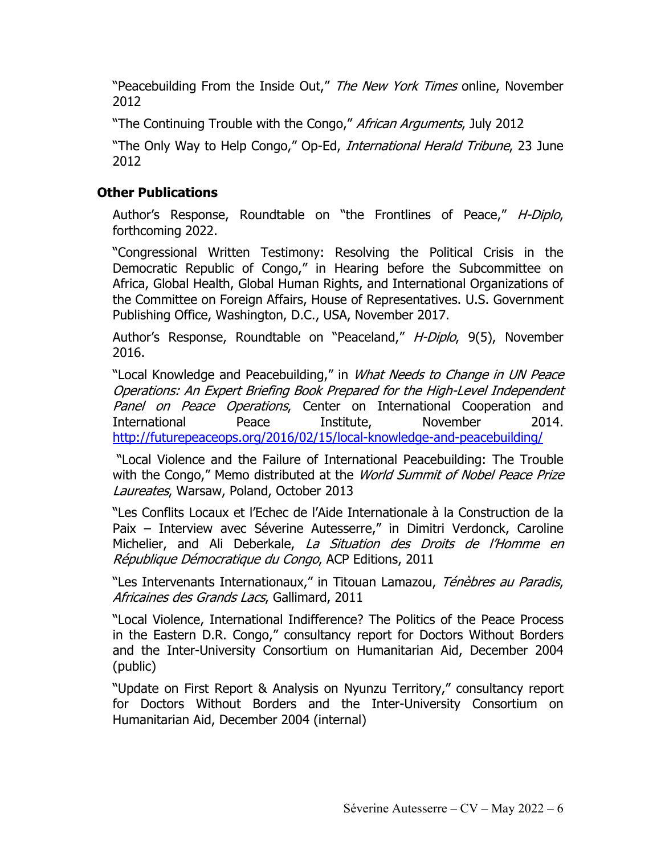"Peacebuilding From the Inside Out," The New York Times online, November 2012

"The Continuing Trouble with the Congo," African Arguments, July 2012

"The Only Way to Help Congo," Op-Ed, International Herald Tribune, 23 June 2012

# **Other Publications**

Author's Response, Roundtable on "the Frontlines of Peace," H-Diplo, forthcoming 2022.

"Congressional Written Testimony: Resolving the Political Crisis in the Democratic Republic of Congo," in Hearing before the Subcommittee on Africa, Global Health, Global Human Rights, and International Organizations of the Committee on Foreign Affairs, House of Representatives. U.S. Government Publishing Office, Washington, D.C., USA, November 2017.

Author's Response, Roundtable on "Peaceland," H-Diplo, 9(5), November 2016.

"Local Knowledge and Peacebuilding," in What Needs to Change in UN Peace Operations: An Expert Briefing Book Prepared for the High-Level Independent Panel on Peace Operations, Center on International Cooperation and International Peace Institute, November 2014. http://futurepeaceops.org/2016/02/15/local-knowledge-and-peacebuilding/

"Local Violence and the Failure of International Peacebuilding: The Trouble with the Congo," Memo distributed at the World Summit of Nobel Peace Prize Laureates, Warsaw, Poland, October 2013

"Les Conflits Locaux et l'Echec de l'Aide Internationale à la Construction de la Paix – Interview avec Séverine Autesserre," in Dimitri Verdonck, Caroline Michelier, and Ali Deberkale, La Situation des Droits de l'Homme en République Démocratique du Congo, ACP Editions, 2011

"Les Intervenants Internationaux," in Titouan Lamazou, Ténèbres au Paradis, Africaines des Grands Lacs, Gallimard, 2011

"Local Violence, International Indifference? The Politics of the Peace Process in the Eastern D.R. Congo," consultancy report for Doctors Without Borders and the Inter-University Consortium on Humanitarian Aid, December 2004 (public)

"Update on First Report & Analysis on Nyunzu Territory," consultancy report for Doctors Without Borders and the Inter-University Consortium on Humanitarian Aid, December 2004 (internal)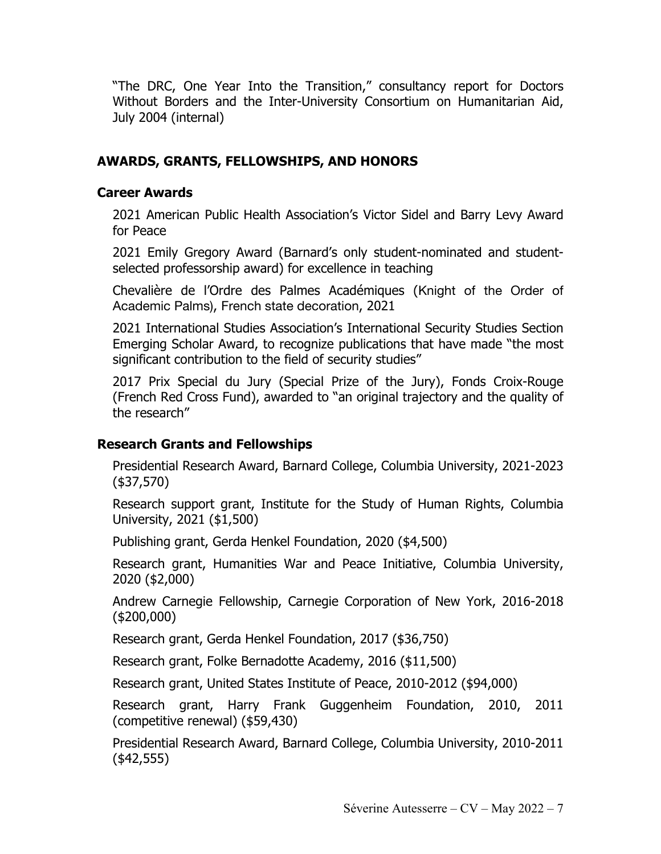"The DRC, One Year Into the Transition," consultancy report for Doctors Without Borders and the Inter-University Consortium on Humanitarian Aid, July 2004 (internal)

## **AWARDS, GRANTS, FELLOWSHIPS, AND HONORS**

### **Career Awards**

2021 American Public Health Association's Victor Sidel and Barry Levy Award for Peace

2021 Emily Gregory Award (Barnard's only student-nominated and studentselected professorship award) for excellence in teaching

Chevalière de l'Ordre des Palmes Académiques (Knight of the Order of Academic Palms), French state decoration, 2021

2021 International Studies Association's International Security Studies Section Emerging Scholar Award, to recognize publications that have made "the most significant contribution to the field of security studies"

2017 Prix Special du Jury (Special Prize of the Jury), Fonds Croix-Rouge (French Red Cross Fund), awarded to "an original trajectory and the quality of the research"

### **Research Grants and Fellowships**

Presidential Research Award, Barnard College, Columbia University, 2021-2023 (\$37,570)

Research support grant, Institute for the Study of Human Rights, Columbia University, 2021 (\$1,500)

Publishing grant, Gerda Henkel Foundation, 2020 (\$4,500)

Research grant, Humanities War and Peace Initiative, Columbia University, 2020 (\$2,000)

Andrew Carnegie Fellowship, Carnegie Corporation of New York, 2016-2018 (\$200,000)

Research grant, Gerda Henkel Foundation, 2017 (\$36,750)

Research grant, Folke Bernadotte Academy, 2016 (\$11,500)

Research grant, United States Institute of Peace, 2010-2012 (\$94,000)

Research grant, Harry Frank Guggenheim Foundation, 2010, 2011 (competitive renewal) (\$59,430)

Presidential Research Award, Barnard College, Columbia University, 2010-2011 (\$42,555)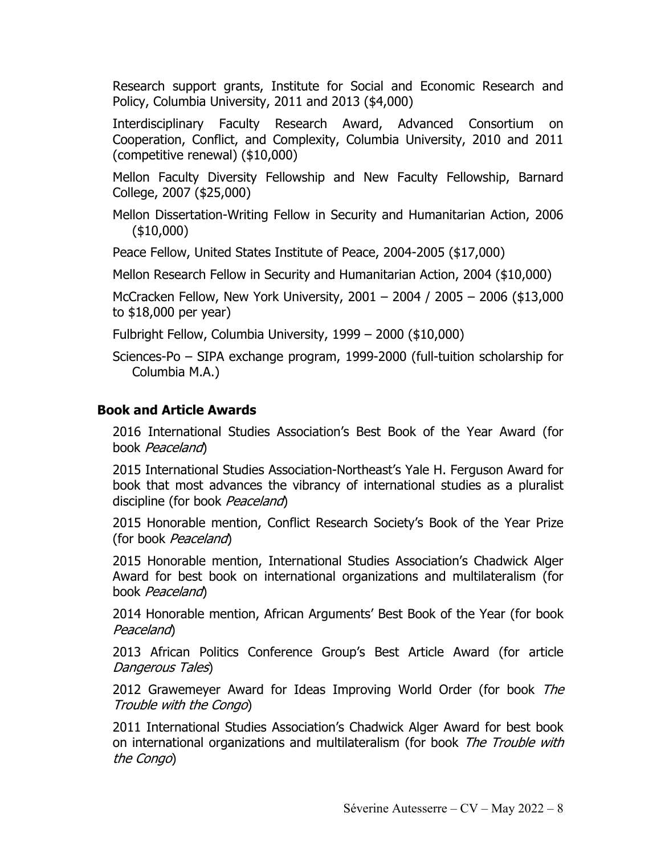Research support grants, Institute for Social and Economic Research and Policy, Columbia University, 2011 and 2013 (\$4,000)

Interdisciplinary Faculty Research Award, Advanced Consortium on Cooperation, Conflict, and Complexity, Columbia University, 2010 and 2011 (competitive renewal) (\$10,000)

Mellon Faculty Diversity Fellowship and New Faculty Fellowship, Barnard College, 2007 (\$25,000)

Mellon Dissertation-Writing Fellow in Security and Humanitarian Action, 2006 (\$10,000)

Peace Fellow, United States Institute of Peace, 2004-2005 (\$17,000)

Mellon Research Fellow in Security and Humanitarian Action, 2004 (\$10,000)

McCracken Fellow, New York University, 2001 – 2004 / 2005 – 2006 (\$13,000 to \$18,000 per year)

Fulbright Fellow, Columbia University, 1999 – 2000 (\$10,000)

Sciences-Po – SIPA exchange program, 1999-2000 (full-tuition scholarship for Columbia M.A.)

## **Book and Article Awards**

2016 International Studies Association's Best Book of the Year Award (for book Peaceland)

2015 International Studies Association-Northeast's Yale H. Ferguson Award for book that most advances the vibrancy of international studies as a pluralist discipline (for book Peaceland)

2015 Honorable mention, Conflict Research Society's Book of the Year Prize (for book *Peaceland*)

2015 Honorable mention, International Studies Association's Chadwick Alger Award for best book on international organizations and multilateralism (for book Peaceland)

2014 Honorable mention, African Arguments' Best Book of the Year (for book Peaceland)

2013 African Politics Conference Group's Best Article Award (for article Dangerous Tales)

2012 Grawemeyer Award for Ideas Improving World Order (for book The Trouble with the Congo)

2011 International Studies Association's Chadwick Alger Award for best book on international organizations and multilateralism (for book The Trouble with the Congo)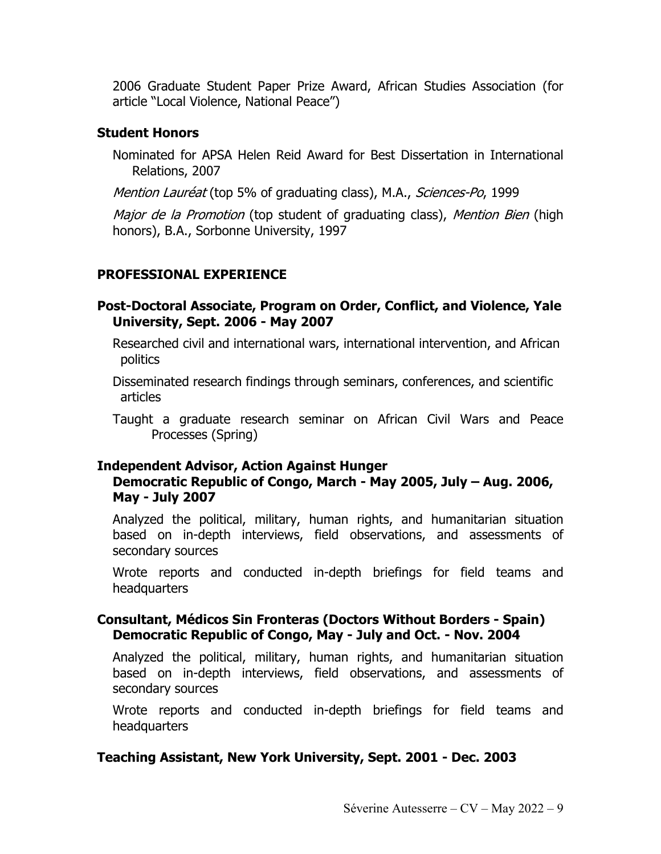2006 Graduate Student Paper Prize Award, African Studies Association (for article "Local Violence, National Peace")

### **Student Honors**

Nominated for APSA Helen Reid Award for Best Dissertation in International Relations, 2007

Mention Lauréat (top 5% of graduating class), M.A., Sciences-Po, 1999

Major de la Promotion (top student of graduating class), Mention Bien (high honors), B.A., Sorbonne University, 1997

# **PROFESSIONAL EXPERIENCE**

### **Post-Doctoral Associate, Program on Order, Conflict, and Violence, Yale University, Sept. 2006 - May 2007**

Researched civil and international wars, international intervention, and African politics

Disseminated research findings through seminars, conferences, and scientific articles

Taught a graduate research seminar on African Civil Wars and Peace Processes (Spring)

### **Independent Advisor, Action Against Hunger**

### **Democratic Republic of Congo, March - May 2005, July – Aug. 2006, May - July 2007**

Analyzed the political, military, human rights, and humanitarian situation based on in-depth interviews, field observations, and assessments of secondary sources

Wrote reports and conducted in-depth briefings for field teams and headquarters

### **Consultant, Médicos Sin Fronteras (Doctors Without Borders - Spain) Democratic Republic of Congo, May - July and Oct. - Nov. 2004**

Analyzed the political, military, human rights, and humanitarian situation based on in-depth interviews, field observations, and assessments of secondary sources

Wrote reports and conducted in-depth briefings for field teams and headquarters

## **Teaching Assistant, New York University, Sept. 2001 - Dec. 2003**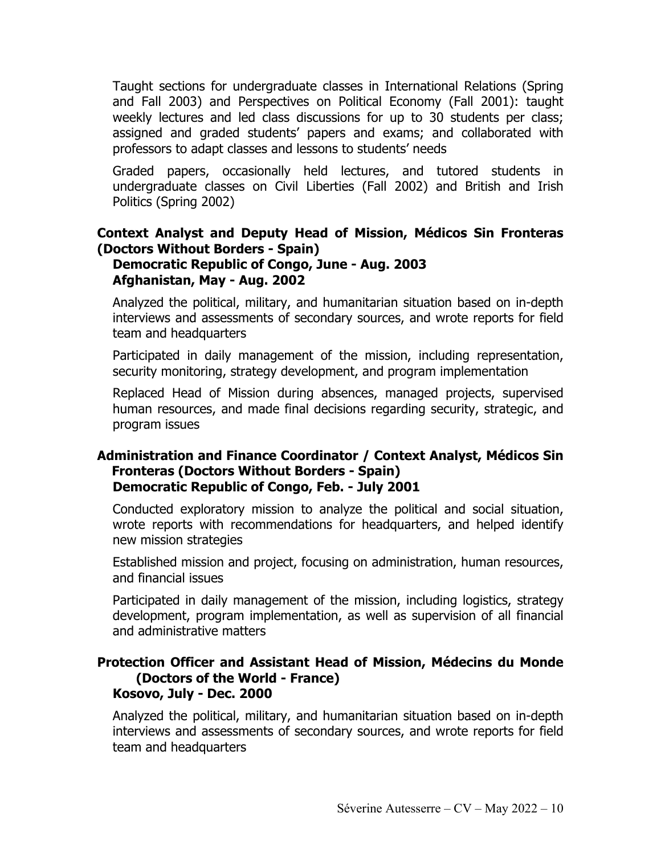Taught sections for undergraduate classes in International Relations (Spring and Fall 2003) and Perspectives on Political Economy (Fall 2001): taught weekly lectures and led class discussions for up to 30 students per class; assigned and graded students' papers and exams; and collaborated with professors to adapt classes and lessons to students' needs

Graded papers, occasionally held lectures, and tutored students in undergraduate classes on Civil Liberties (Fall 2002) and British and Irish Politics (Spring 2002)

#### **Context Analyst and Deputy Head of Mission, Médicos Sin Fronteras (Doctors Without Borders - Spain) Democratic Republic of Congo, June - Aug. 2003 Afghanistan, May - Aug. 2002**

Analyzed the political, military, and humanitarian situation based on in-depth interviews and assessments of secondary sources, and wrote reports for field team and headquarters

Participated in daily management of the mission, including representation, security monitoring, strategy development, and program implementation

Replaced Head of Mission during absences, managed projects, supervised human resources, and made final decisions regarding security, strategic, and program issues

### **Administration and Finance Coordinator / Context Analyst, Médicos Sin Fronteras (Doctors Without Borders - Spain) Democratic Republic of Congo, Feb. - July 2001**

Conducted exploratory mission to analyze the political and social situation, wrote reports with recommendations for headquarters, and helped identify new mission strategies

Established mission and project, focusing on administration, human resources, and financial issues

Participated in daily management of the mission, including logistics, strategy development, program implementation, as well as supervision of all financial and administrative matters

#### **Protection Officer and Assistant Head of Mission, Médecins du Monde (Doctors of the World - France) Kosovo, July - Dec. 2000**

Analyzed the political, military, and humanitarian situation based on in-depth interviews and assessments of secondary sources, and wrote reports for field team and headquarters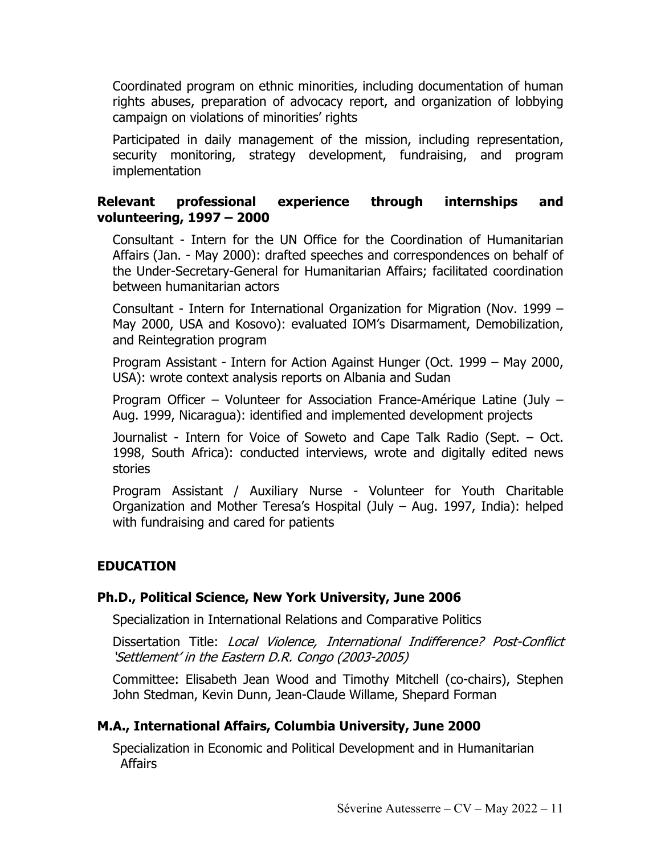Coordinated program on ethnic minorities, including documentation of human rights abuses, preparation of advocacy report, and organization of lobbying campaign on violations of minorities' rights

Participated in daily management of the mission, including representation, security monitoring, strategy development, fundraising, and program implementation

## **Relevant professional experience through internships and volunteering, 1997 – 2000**

Consultant - Intern for the UN Office for the Coordination of Humanitarian Affairs (Jan. - May 2000): drafted speeches and correspondences on behalf of the Under-Secretary-General for Humanitarian Affairs; facilitated coordination between humanitarian actors

Consultant - Intern for International Organization for Migration (Nov. 1999 – May 2000, USA and Kosovo): evaluated IOM's Disarmament, Demobilization, and Reintegration program

Program Assistant - Intern for Action Against Hunger (Oct. 1999 – May 2000, USA): wrote context analysis reports on Albania and Sudan

Program Officer – Volunteer for Association France-Amérique Latine (July – Aug. 1999, Nicaragua): identified and implemented development projects

Journalist - Intern for Voice of Soweto and Cape Talk Radio (Sept. – Oct. 1998, South Africa): conducted interviews, wrote and digitally edited news stories

Program Assistant / Auxiliary Nurse - Volunteer for Youth Charitable Organization and Mother Teresa's Hospital (July – Aug. 1997, India): helped with fundraising and cared for patients

## **EDUCATION**

### **Ph.D., Political Science, New York University, June 2006**

Specialization in International Relations and Comparative Politics

Dissertation Title: Local Violence, International Indifference? Post-Conflict 'Settlement' in the Eastern D.R. Congo (2003-2005)

Committee: Elisabeth Jean Wood and Timothy Mitchell (co-chairs), Stephen John Stedman, Kevin Dunn, Jean-Claude Willame, Shepard Forman

### **M.A., International Affairs, Columbia University, June 2000**

Specialization in Economic and Political Development and in Humanitarian Affairs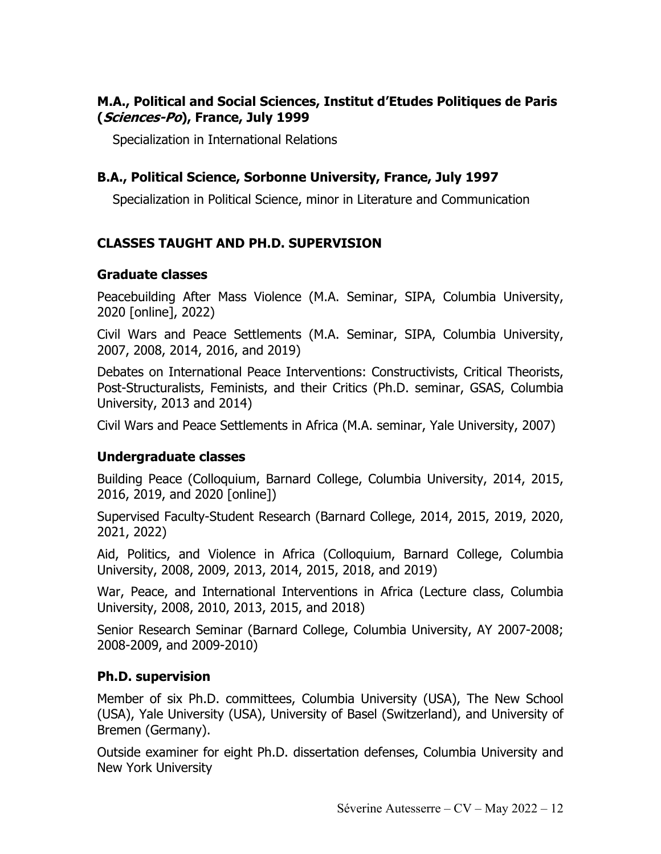### **M.A., Political and Social Sciences, Institut d'Etudes Politiques de Paris (Sciences-Po), France, July 1999**

Specialization in International Relations

## **B.A., Political Science, Sorbonne University, France, July 1997**

Specialization in Political Science, minor in Literature and Communication

## **CLASSES TAUGHT AND PH.D. SUPERVISION**

#### **Graduate classes**

Peacebuilding After Mass Violence (M.A. Seminar, SIPA, Columbia University, 2020 [online], 2022)

Civil Wars and Peace Settlements (M.A. Seminar, SIPA, Columbia University, 2007, 2008, 2014, 2016, and 2019)

Debates on International Peace Interventions: Constructivists, Critical Theorists, Post-Structuralists, Feminists, and their Critics (Ph.D. seminar, GSAS, Columbia University, 2013 and 2014)

Civil Wars and Peace Settlements in Africa (M.A. seminar, Yale University, 2007)

### **Undergraduate classes**

Building Peace (Colloquium, Barnard College, Columbia University, 2014, 2015, 2016, 2019, and 2020 [online])

Supervised Faculty-Student Research (Barnard College, 2014, 2015, 2019, 2020, 2021, 2022)

Aid, Politics, and Violence in Africa (Colloquium, Barnard College, Columbia University, 2008, 2009, 2013, 2014, 2015, 2018, and 2019)

War, Peace, and International Interventions in Africa (Lecture class, Columbia University, 2008, 2010, 2013, 2015, and 2018)

Senior Research Seminar (Barnard College, Columbia University, AY 2007-2008; 2008-2009, and 2009-2010)

### **Ph.D. supervision**

Member of six Ph.D. committees, Columbia University (USA), The New School (USA), Yale University (USA), University of Basel (Switzerland), and University of Bremen (Germany).

Outside examiner for eight Ph.D. dissertation defenses, Columbia University and New York University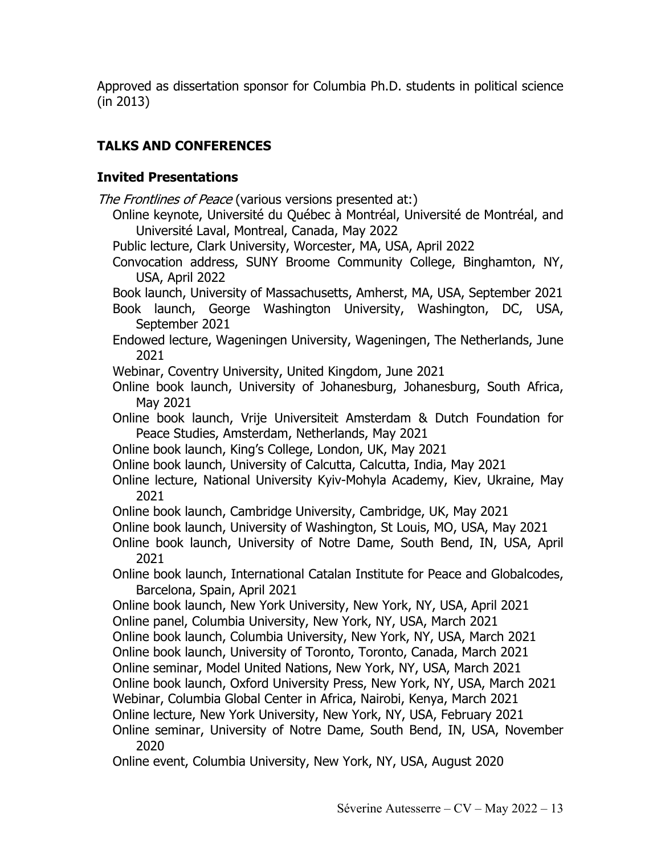Approved as dissertation sponsor for Columbia Ph.D. students in political science (in 2013)

# **TALKS AND CONFERENCES**

## **Invited Presentations**

- The Frontlines of Peace (various versions presented at:)
	- Online keynote, Université du Québec à Montréal, Université de Montréal, and Université Laval, Montreal, Canada, May 2022
	- Public lecture, Clark University, Worcester, MA, USA, April 2022
	- Convocation address, SUNY Broome Community College, Binghamton, NY, USA, April 2022
	- Book launch, University of Massachusetts, Amherst, MA, USA, September 2021
	- Book launch, George Washington University, Washington, DC, USA, September 2021
	- Endowed lecture, Wageningen University, Wageningen, The Netherlands, June 2021

Webinar, Coventry University, United Kingdom, June 2021

- Online book launch, University of Johanesburg, Johanesburg, South Africa, May 2021
- Online book launch, Vrije Universiteit Amsterdam & Dutch Foundation for Peace Studies, Amsterdam, Netherlands, May 2021
- Online book launch, King's College, London, UK, May 2021
- Online book launch, University of Calcutta, Calcutta, India, May 2021
- Online lecture, National University Kyiv-Mohyla Academy, Kiev, Ukraine, May 2021
- Online book launch, Cambridge University, Cambridge, UK, May 2021
- Online book launch, University of Washington, St Louis, MO, USA, May 2021
- Online book launch, University of Notre Dame, South Bend, IN, USA, April 2021
- Online book launch, International Catalan Institute for Peace and Globalcodes, Barcelona, Spain, April 2021
- Online book launch, New York University, New York, NY, USA, April 2021 Online panel, Columbia University, New York, NY, USA, March 2021
- Online book launch, Columbia University, New York, NY, USA, March 2021
- Online book launch, University of Toronto, Toronto, Canada, March 2021
- Online seminar, Model United Nations, New York, NY, USA, March 2021
- Online book launch, Oxford University Press, New York, NY, USA, March 2021
- Webinar, Columbia Global Center in Africa, Nairobi, Kenya, March 2021
- Online lecture, New York University, New York, NY, USA, February 2021
- Online seminar, University of Notre Dame, South Bend, IN, USA, November 2020

Online event, Columbia University, New York, NY, USA, August 2020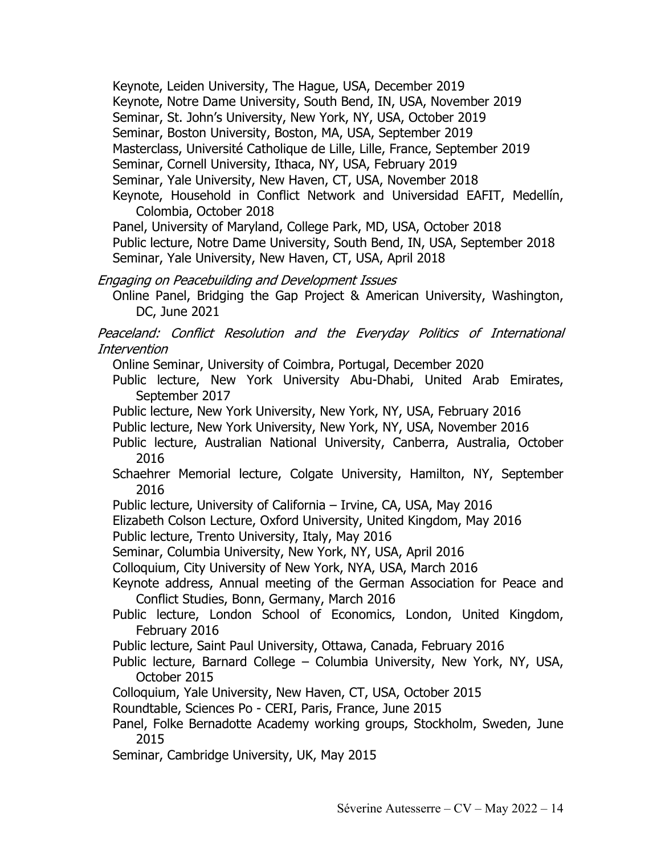Keynote, Leiden University, The Hague, USA, December 2019 Keynote, Notre Dame University, South Bend, IN, USA, November 2019 Seminar, St. John's University, New York, NY, USA, October 2019 Seminar, Boston University, Boston, MA, USA, September 2019 Masterclass, Université Catholique de Lille, Lille, France, September 2019 Seminar, Cornell University, Ithaca, NY, USA, February 2019 Seminar, Yale University, New Haven, CT, USA, November 2018 Keynote, Household in Conflict Network and Universidad EAFIT, Medellín, Colombia, October 2018

Panel, University of Maryland, College Park, MD, USA, October 2018 Public lecture, Notre Dame University, South Bend, IN, USA, September 2018 Seminar, Yale University, New Haven, CT, USA, April 2018

Engaging on Peacebuilding and Development Issues

Online Panel, Bridging the Gap Project & American University, Washington, DC, June 2021

Peaceland: Conflict Resolution and the Everyday Politics of International Intervention

Online Seminar, University of Coimbra, Portugal, December 2020

Public lecture, New York University Abu-Dhabi, United Arab Emirates, September 2017

Public lecture, New York University, New York, NY, USA, February 2016

Public lecture, New York University, New York, NY, USA, November 2016

Public lecture, Australian National University, Canberra, Australia, October 2016

Schaehrer Memorial lecture, Colgate University, Hamilton, NY, September 2016

Public lecture, University of California – Irvine, CA, USA, May 2016

Elizabeth Colson Lecture, Oxford University, United Kingdom, May 2016

Public lecture, Trento University, Italy, May 2016

Seminar, Columbia University, New York, NY, USA, April 2016

Colloquium, City University of New York, NYA, USA, March 2016

Keynote address, Annual meeting of the German Association for Peace and Conflict Studies, Bonn, Germany, March 2016

Public lecture, London School of Economics, London, United Kingdom, February 2016

Public lecture, Saint Paul University, Ottawa, Canada, February 2016

Public lecture, Barnard College – Columbia University, New York, NY, USA, October 2015

Colloquium, Yale University, New Haven, CT, USA, October 2015

Roundtable, Sciences Po - CERI, Paris, France, June 2015

Panel, Folke Bernadotte Academy working groups, Stockholm, Sweden, June 2015

Seminar, Cambridge University, UK, May 2015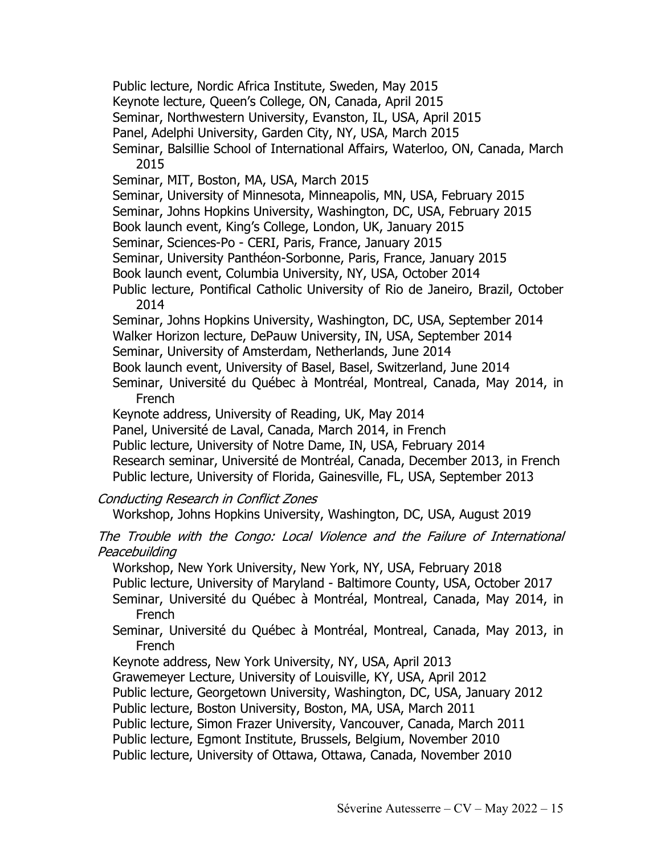Public lecture, Nordic Africa Institute, Sweden, May 2015

Keynote lecture, Queen's College, ON, Canada, April 2015

Seminar, Northwestern University, Evanston, IL, USA, April 2015

Panel, Adelphi University, Garden City, NY, USA, March 2015

Seminar, Balsillie School of International Affairs, Waterloo, ON, Canada, March 2015

Seminar, MIT, Boston, MA, USA, March 2015

Seminar, University of Minnesota, Minneapolis, MN, USA, February 2015

Seminar, Johns Hopkins University, Washington, DC, USA, February 2015

Book launch event, King's College, London, UK, January 2015

Seminar, Sciences-Po - CERI, Paris, France, January 2015

Seminar, University Panthéon-Sorbonne, Paris, France, January 2015

Book launch event, Columbia University, NY, USA, October 2014

Public lecture, Pontifical Catholic University of Rio de Janeiro, Brazil, October 2014

Seminar, Johns Hopkins University, Washington, DC, USA, September 2014 Walker Horizon lecture, DePauw University, IN, USA, September 2014 Seminar, University of Amsterdam, Netherlands, June 2014

Book launch event, University of Basel, Basel, Switzerland, June 2014

Seminar, Université du Québec à Montréal, Montreal, Canada, May 2014, in French

Keynote address, University of Reading, UK, May 2014

Panel, Université de Laval, Canada, March 2014, in French

Public lecture, University of Notre Dame, IN, USA, February 2014

Research seminar, Université de Montréal, Canada, December 2013, in French Public lecture, University of Florida, Gainesville, FL, USA, September 2013

Conducting Research in Conflict Zones

Workshop, Johns Hopkins University, Washington, DC, USA, August 2019

The Trouble with the Congo: Local Violence and the Failure of International **Peacebuilding** 

Workshop, New York University, New York, NY, USA, February 2018

Public lecture, University of Maryland - Baltimore County, USA, October 2017

Seminar, Université du Québec à Montréal, Montreal, Canada, May 2014, in French

Seminar, Université du Québec à Montréal, Montreal, Canada, May 2013, in French

Keynote address, New York University, NY, USA, April 2013

Grawemeyer Lecture, University of Louisville, KY, USA, April 2012

Public lecture, Georgetown University, Washington, DC, USA, January 2012

Public lecture, Boston University, Boston, MA, USA, March 2011

Public lecture, Simon Frazer University, Vancouver, Canada, March 2011

Public lecture, Egmont Institute, Brussels, Belgium, November 2010

Public lecture, University of Ottawa, Ottawa, Canada, November 2010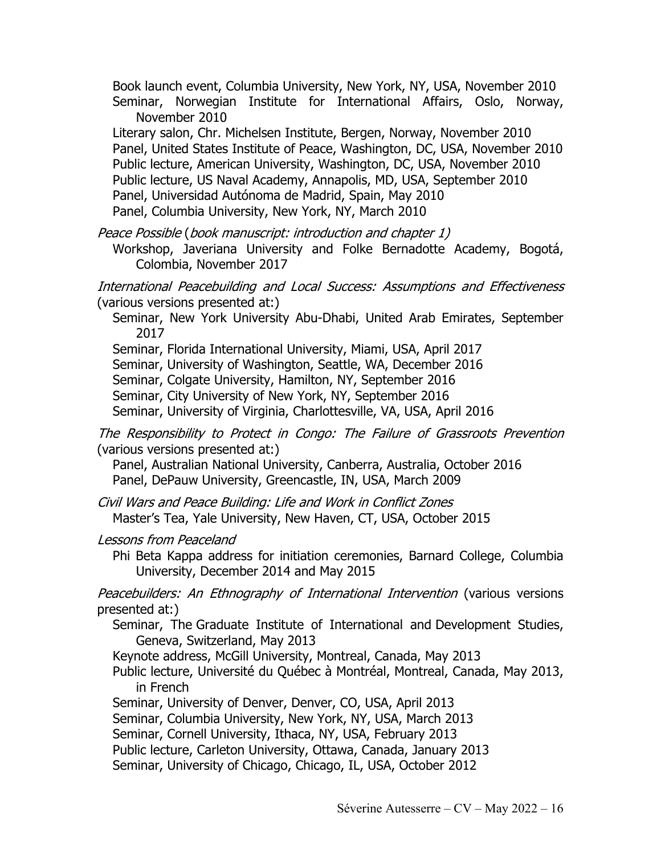Book launch event, Columbia University, New York, NY, USA, November 2010 Seminar, Norwegian Institute for International Affairs, Oslo, Norway,

November 2010 Literary salon, Chr. Michelsen Institute, Bergen, Norway, November 2010 Panel, United States Institute of Peace, Washington, DC, USA, November 2010 Public lecture, American University, Washington, DC, USA, November 2010 Public lecture, US Naval Academy, Annapolis, MD, USA, September 2010 Panel, Universidad Autónoma de Madrid, Spain, May 2010 Panel, Columbia University, New York, NY, March 2010

Peace Possible (book manuscript: introduction and chapter 1)

Workshop, Javeriana University and Folke Bernadotte Academy, Bogotá, Colombia, November 2017

International Peacebuilding and Local Success: Assumptions and Effectiveness (various versions presented at:)

Seminar, New York University Abu-Dhabi, United Arab Emirates, September 2017

Seminar, Florida International University, Miami, USA, April 2017 Seminar, University of Washington, Seattle, WA, December 2016 Seminar, Colgate University, Hamilton, NY, September 2016 Seminar, City University of New York, NY, September 2016 Seminar, University of Virginia, Charlottesville, VA, USA, April 2016

The Responsibility to Protect in Congo: The Failure of Grassroots Prevention (various versions presented at:)

Panel, Australian National University, Canberra, Australia, October 2016 Panel, DePauw University, Greencastle, IN, USA, March 2009

Civil Wars and Peace Building: Life and Work in Conflict Zones Master's Tea, Yale University, New Haven, CT, USA, October 2015

Lessons from Peaceland

Phi Beta Kappa address for initiation ceremonies, Barnard College, Columbia University, December 2014 and May 2015

Peacebuilders: An Ethnography of International Intervention (various versions presented at:)

Seminar, The Graduate Institute of International and Development Studies, Geneva, Switzerland, May 2013

Keynote address, McGill University, Montreal, Canada, May 2013

Public lecture, Université du Québec à Montréal, Montreal, Canada, May 2013, in French

Seminar, University of Denver, Denver, CO, USA, April 2013

Seminar, Columbia University, New York, NY, USA, March 2013

Seminar, Cornell University, Ithaca, NY, USA, February 2013

Public lecture, Carleton University, Ottawa, Canada, January 2013

Seminar, University of Chicago, Chicago, IL, USA, October 2012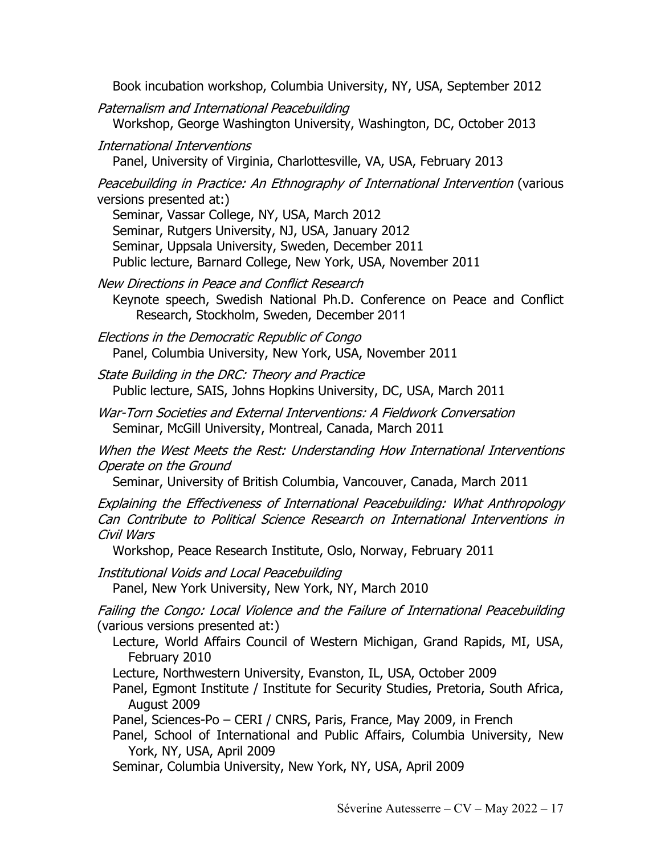Book incubation workshop, Columbia University, NY, USA, September 2012

Paternalism and International Peacebuilding Workshop, George Washington University, Washington, DC, October 2013

International Interventions

Panel, University of Virginia, Charlottesville, VA, USA, February 2013

Peacebuilding in Practice: An Ethnography of International Intervention (various versions presented at:)

Seminar, Vassar College, NY, USA, March 2012 Seminar, Rutgers University, NJ, USA, January 2012 Seminar, Uppsala University, Sweden, December 2011 Public lecture, Barnard College, New York, USA, November 2011

New Directions in Peace and Conflict Research Keynote speech, Swedish National Ph.D. Conference on Peace and Conflict Research, Stockholm, Sweden, December 2011

Elections in the Democratic Republic of Congo Panel, Columbia University, New York, USA, November 2011

State Building in the DRC: Theory and Practice Public lecture, SAIS, Johns Hopkins University, DC, USA, March 2011

War-Torn Societies and External Interventions: A Fieldwork Conversation Seminar, McGill University, Montreal, Canada, March 2011

When the West Meets the Rest: Understanding How International Interventions Operate on the Ground

Seminar, University of British Columbia, Vancouver, Canada, March 2011

Explaining the Effectiveness of International Peacebuilding: What Anthropology Can Contribute to Political Science Research on International Interventions in Civil Wars

Workshop, Peace Research Institute, Oslo, Norway, February 2011

Institutional Voids and Local Peacebuilding Panel, New York University, New York, NY, March 2010

Failing the Congo: Local Violence and the Failure of International Peacebuilding (various versions presented at:)

Lecture, World Affairs Council of Western Michigan, Grand Rapids, MI, USA, February 2010

Lecture, Northwestern University, Evanston, IL, USA, October 2009

Panel, Egmont Institute / Institute for Security Studies, Pretoria, South Africa, August 2009

Panel, Sciences-Po – CERI / CNRS, Paris, France, May 2009, in French

Panel, School of International and Public Affairs, Columbia University, New York, NY, USA, April 2009

Seminar, Columbia University, New York, NY, USA, April 2009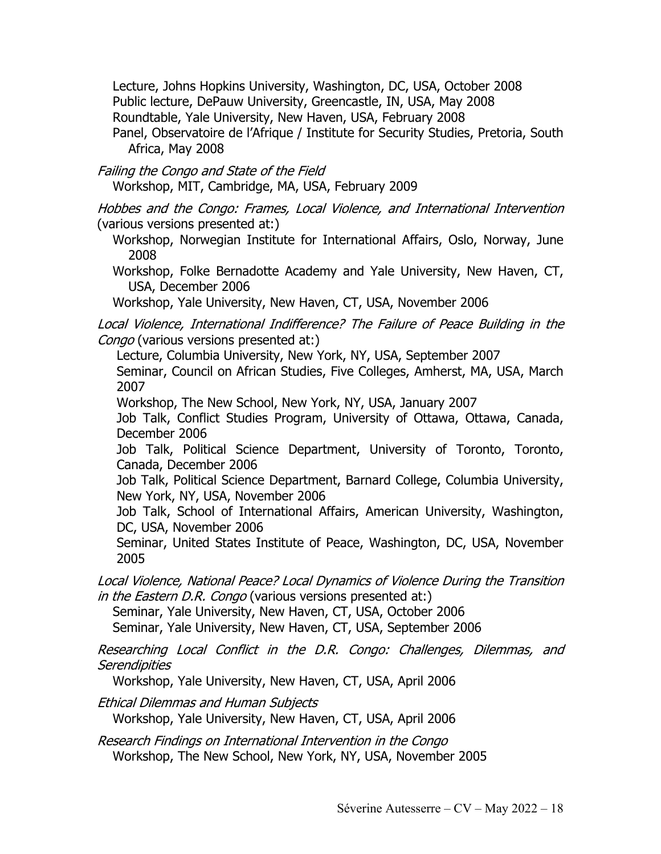Lecture, Johns Hopkins University, Washington, DC, USA, October 2008 Public lecture, DePauw University, Greencastle, IN, USA, May 2008 Roundtable, Yale University, New Haven, USA, February 2008 Panel, Observatoire de l'Afrique / Institute for Security Studies, Pretoria, South Africa, May 2008

Failing the Congo and State of the Field

Workshop, MIT, Cambridge, MA, USA, February 2009

Hobbes and the Congo: Frames, Local Violence, and International Intervention (various versions presented at:)

Workshop, Norwegian Institute for International Affairs, Oslo, Norway, June 2008

Workshop, Folke Bernadotte Academy and Yale University, New Haven, CT, USA, December 2006

Workshop, Yale University, New Haven, CT, USA, November 2006

Local Violence, International Indifference? The Failure of Peace Building in the Congo (various versions presented at:)

Lecture, Columbia University, New York, NY, USA, September 2007

Seminar, Council on African Studies, Five Colleges, Amherst, MA, USA, March 2007

Workshop, The New School, New York, NY, USA, January 2007

Job Talk, Conflict Studies Program, University of Ottawa, Ottawa, Canada, December 2006

Job Talk, Political Science Department, University of Toronto, Toronto, Canada, December 2006

Job Talk, Political Science Department, Barnard College, Columbia University, New York, NY, USA, November 2006

Job Talk, School of International Affairs, American University, Washington, DC, USA, November 2006

Seminar, United States Institute of Peace, Washington, DC, USA, November 2005

Local Violence, National Peace? Local Dynamics of Violence During the Transition in the Eastern D.R. Congo (various versions presented at:)

Seminar, Yale University, New Haven, CT, USA, October 2006 Seminar, Yale University, New Haven, CT, USA, September 2006

Researching Local Conflict in the D.R. Congo: Challenges, Dilemmas, and **Serendipities** 

Workshop, Yale University, New Haven, CT, USA, April 2006

Ethical Dilemmas and Human Subjects

Workshop, Yale University, New Haven, CT, USA, April 2006

Research Findings on International Intervention in the Congo Workshop, The New School, New York, NY, USA, November 2005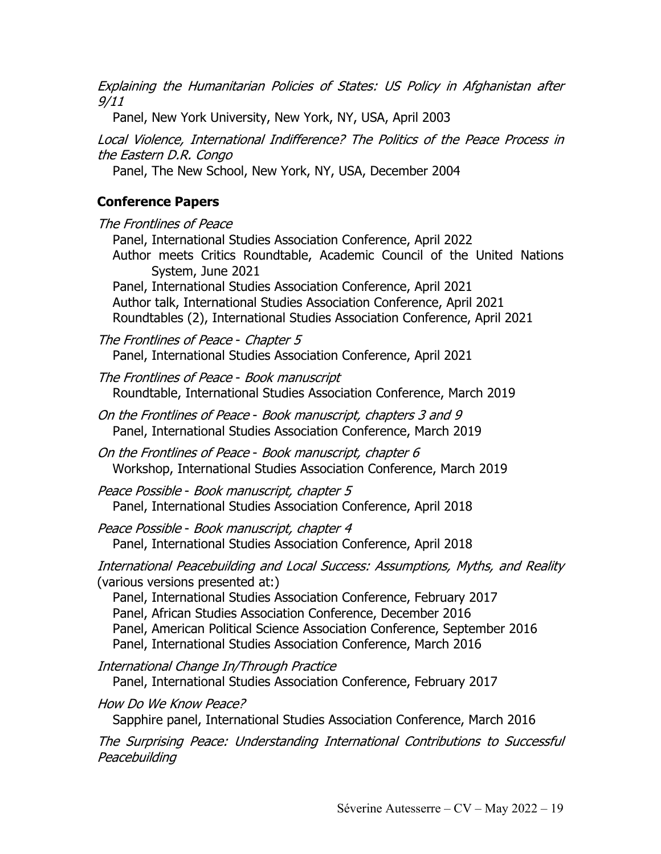Explaining the Humanitarian Policies of States: US Policy in Afghanistan after 9/11

Panel, New York University, New York, NY, USA, April 2003

Local Violence, International Indifference? The Politics of the Peace Process in the Eastern D.R. Congo

Panel, The New School, New York, NY, USA, December 2004

# **Conference Papers**

The Frontlines of Peace Panel, International Studies Association Conference, April 2022 Author meets Critics Roundtable, Academic Council of the United Nations System, June 2021 Panel, International Studies Association Conference, April 2021 Author talk, International Studies Association Conference, April 2021 Roundtables (2), International Studies Association Conference, April 2021

The Frontlines of Peace - Chapter 5 Panel, International Studies Association Conference, April 2021

The Frontlines of Peace - Book manuscript Roundtable, International Studies Association Conference, March 2019

On the Frontlines of Peace - Book manuscript, chapters 3 and 9 Panel, International Studies Association Conference, March 2019

On the Frontlines of Peace - Book manuscript, chapter 6 Workshop, International Studies Association Conference, March 2019

Peace Possible - Book manuscript, chapter 5 Panel, International Studies Association Conference, April 2018

Peace Possible - Book manuscript, chapter 4 Panel, International Studies Association Conference, April 2018

International Peacebuilding and Local Success: Assumptions, Myths, and Reality (various versions presented at:)

Panel, International Studies Association Conference, February 2017 Panel, African Studies Association Conference, December 2016 Panel, American Political Science Association Conference, September 2016 Panel, International Studies Association Conference, March 2016

International Change In/Through Practice

Panel, International Studies Association Conference, February 2017

How Do We Know Peace?

Sapphire panel, International Studies Association Conference, March 2016

The Surprising Peace: Understanding International Contributions to Successful **Peacebuilding**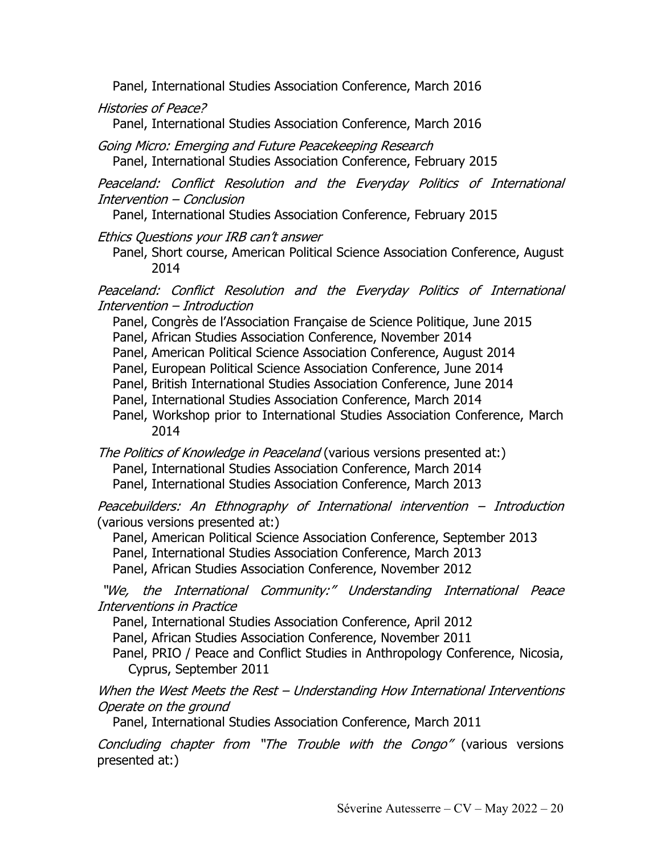Panel, International Studies Association Conference, March 2016

Histories of Peace?

Panel, International Studies Association Conference, March 2016

Going Micro: Emerging and Future Peacekeeping Research Panel, International Studies Association Conference, February 2015

Peaceland: Conflict Resolution and the Everyday Politics of International Intervention – Conclusion

Panel, International Studies Association Conference, February 2015

Ethics Questions your IRB can't answer

Panel, Short course, American Political Science Association Conference, August 2014

Peaceland: Conflict Resolution and the Everyday Politics of International Intervention – Introduction

Panel, Congrès de l'Association Française de Science Politique, June 2015

Panel, African Studies Association Conference, November 2014

- Panel, American Political Science Association Conference, August 2014
- Panel, European Political Science Association Conference, June 2014
- Panel, British International Studies Association Conference, June 2014
- Panel, International Studies Association Conference, March 2014
- Panel, Workshop prior to International Studies Association Conference, March 2014

The Politics of Knowledge in Peaceland (various versions presented at:) Panel, International Studies Association Conference, March 2014 Panel, International Studies Association Conference, March 2013

Peacebuilders: An Ethnography of International intervention – Introduction (various versions presented at:)

Panel, American Political Science Association Conference, September 2013 Panel, International Studies Association Conference, March 2013

Panel, African Studies Association Conference, November 2012

"We, the International Community:" Understanding International Peace Interventions in Practice

Panel, International Studies Association Conference, April 2012

Panel, African Studies Association Conference, November 2011

Panel, PRIO / Peace and Conflict Studies in Anthropology Conference, Nicosia, Cyprus, September 2011

When the West Meets the Rest – Understanding How International Interventions Operate on the ground

Panel, International Studies Association Conference, March 2011

Concluding chapter from "The Trouble with the Congo" (various versions presented at:)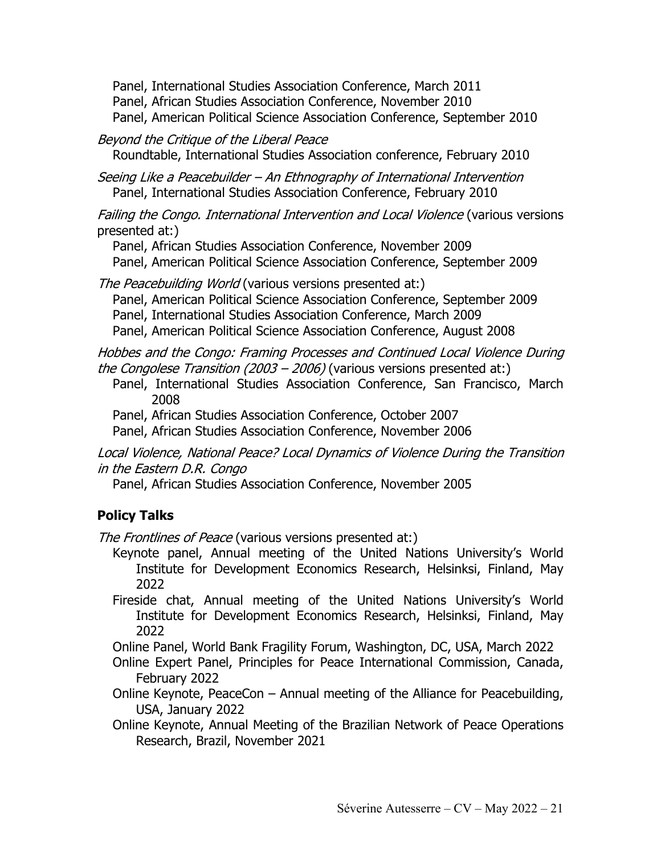Panel, International Studies Association Conference, March 2011 Panel, African Studies Association Conference, November 2010 Panel, American Political Science Association Conference, September 2010

#### Beyond the Critique of the Liberal Peace

Roundtable, International Studies Association conference, February 2010

Seeing Like a Peacebuilder – An Ethnography of International Intervention Panel, International Studies Association Conference, February 2010

Failing the Congo. International Intervention and Local Violence (various versions presented at:)

Panel, African Studies Association Conference, November 2009 Panel, American Political Science Association Conference, September 2009

The Peacebuilding World (various versions presented at:)

Panel, American Political Science Association Conference, September 2009

Panel, International Studies Association Conference, March 2009

Panel, American Political Science Association Conference, August 2008

Hobbes and the Congo: Framing Processes and Continued Local Violence During the Congolese Transition (2003 – 2006) (various versions presented at:)

Panel, International Studies Association Conference, San Francisco, March 2008

Panel, African Studies Association Conference, October 2007

Panel, African Studies Association Conference, November 2006

Local Violence, National Peace? Local Dynamics of Violence During the Transition in the Eastern D.R. Congo

Panel, African Studies Association Conference, November 2005

### **Policy Talks**

The Frontlines of Peace (various versions presented at:)

Keynote panel, Annual meeting of the United Nations University's World Institute for Development Economics Research, Helsinksi, Finland, May 2022

Fireside chat, Annual meeting of the United Nations University's World Institute for Development Economics Research, Helsinksi, Finland, May 2022

Online Panel, World Bank Fragility Forum, Washington, DC, USA, March 2022

Online Expert Panel, Principles for Peace International Commission, Canada, February 2022

Online Keynote, PeaceCon – Annual meeting of the Alliance for Peacebuilding, USA, January 2022

Online Keynote, Annual Meeting of the Brazilian Network of Peace Operations Research, Brazil, November 2021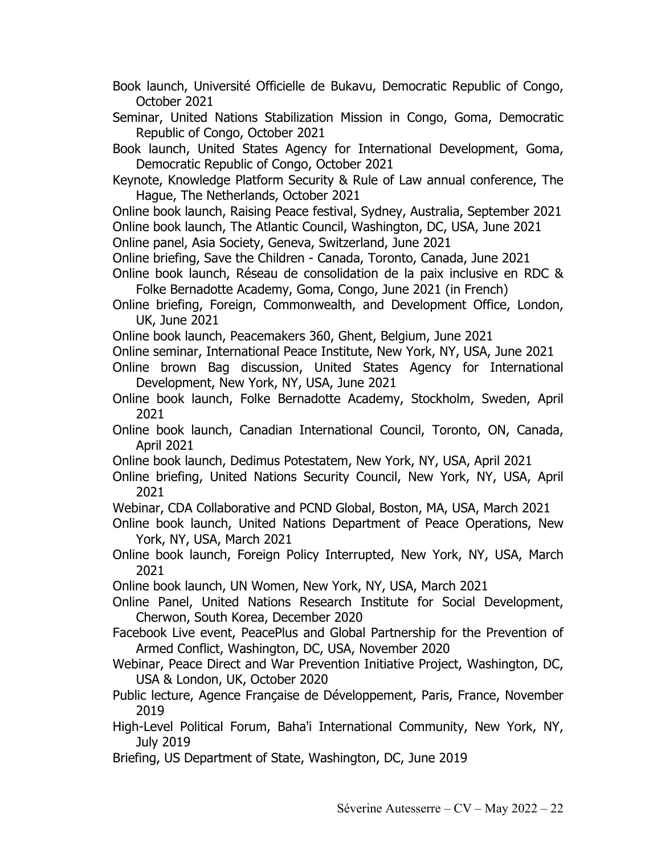- Book launch, Université Officielle de Bukavu, Democratic Republic of Congo, October 2021
- Seminar, United Nations Stabilization Mission in Congo, Goma, Democratic Republic of Congo, October 2021
- Book launch, United States Agency for International Development, Goma, Democratic Republic of Congo, October 2021
- Keynote, Knowledge Platform Security & Rule of Law annual conference, The Hague, The Netherlands, October 2021
- Online book launch, Raising Peace festival, Sydney, Australia, September 2021 Online book launch, The Atlantic Council, Washington, DC, USA, June 2021

Online panel, Asia Society, Geneva, Switzerland, June 2021

- Online briefing, Save the Children Canada, Toronto, Canada, June 2021
- Online book launch, Réseau de consolidation de la paix inclusive en RDC & Folke Bernadotte Academy, Goma, Congo, June 2021 (in French)
- Online briefing, Foreign, Commonwealth, and Development Office, London, UK, June 2021
- Online book launch, Peacemakers 360, Ghent, Belgium, June 2021
- Online seminar, International Peace Institute, New York, NY, USA, June 2021
- Online brown Bag discussion, United States Agency for International Development, New York, NY, USA, June 2021
- Online book launch, Folke Bernadotte Academy, Stockholm, Sweden, April 2021
- Online book launch, Canadian International Council, Toronto, ON, Canada, April 2021
- Online book launch, Dedimus Potestatem, New York, NY, USA, April 2021
- Online briefing, United Nations Security Council, New York, NY, USA, April 2021
- Webinar, CDA Collaborative and PCND Global, Boston, MA, USA, March 2021
- Online book launch, United Nations Department of Peace Operations, New York, NY, USA, March 2021
- Online book launch, Foreign Policy Interrupted, New York, NY, USA, March 2021
- Online book launch, UN Women, New York, NY, USA, March 2021
- Online Panel, United Nations Research Institute for Social Development, Cherwon, South Korea, December 2020
- Facebook Live event, PeacePlus and Global Partnership for the Prevention of Armed Conflict, Washington, DC, USA, November 2020
- Webinar, Peace Direct and War Prevention Initiative Project, Washington, DC, USA & London, UK, October 2020
- Public lecture, Agence Française de Développement, Paris, France, November 2019
- High-Level Political Forum, Baha'i International Community, New York, NY, July 2019
- Briefing, US Department of State, Washington, DC, June 2019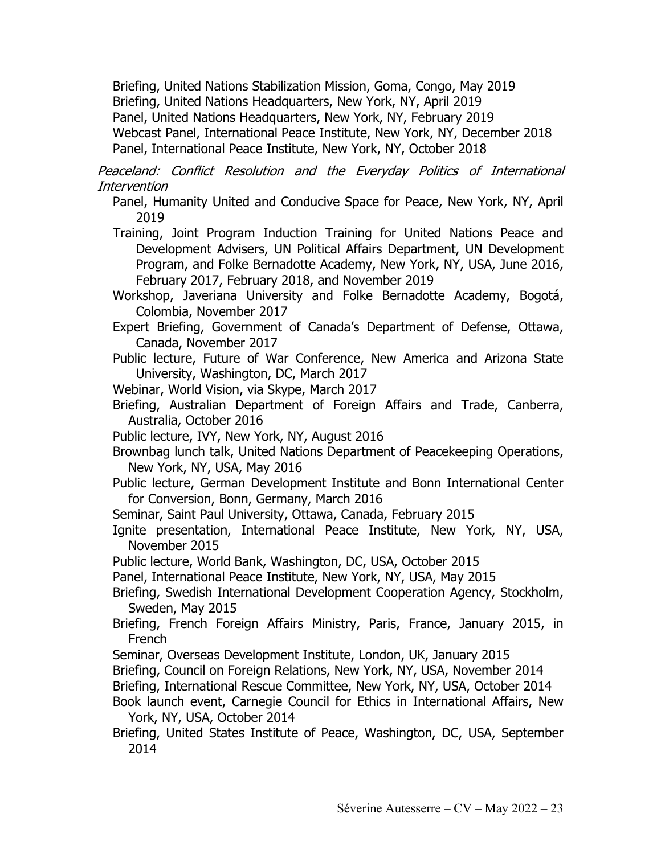Briefing, United Nations Stabilization Mission, Goma, Congo, May 2019 Briefing, United Nations Headquarters, New York, NY, April 2019 Panel, United Nations Headquarters, New York, NY, February 2019 Webcast Panel, International Peace Institute, New York, NY, December 2018 Panel, International Peace Institute, New York, NY, October 2018

Peaceland: Conflict Resolution and the Everyday Politics of International Intervention

Panel, Humanity United and Conducive Space for Peace, New York, NY, April 2019

Training, Joint Program Induction Training for United Nations Peace and Development Advisers, UN Political Affairs Department, UN Development Program, and Folke Bernadotte Academy, New York, NY, USA, June 2016, February 2017, February 2018, and November 2019

Workshop, Javeriana University and Folke Bernadotte Academy, Bogotá, Colombia, November 2017

- Expert Briefing, Government of Canada's Department of Defense, Ottawa, Canada, November 2017
- Public lecture, Future of War Conference, New America and Arizona State University, Washington, DC, March 2017

Webinar, World Vision, via Skype, March 2017

- Briefing, Australian Department of Foreign Affairs and Trade, Canberra, Australia, October 2016
- Public lecture, IVY, New York, NY, August 2016
- Brownbag lunch talk, United Nations Department of Peacekeeping Operations, New York, NY, USA, May 2016
- Public lecture, German Development Institute and Bonn International Center for Conversion, Bonn, Germany, March 2016

Seminar, Saint Paul University, Ottawa, Canada, February 2015

Ignite presentation, International Peace Institute, New York, NY, USA, November 2015

Public lecture, World Bank, Washington, DC, USA, October 2015

Panel, International Peace Institute, New York, NY, USA, May 2015

Briefing, Swedish International Development Cooperation Agency, Stockholm, Sweden, May 2015

- Briefing, French Foreign Affairs Ministry, Paris, France, January 2015, in French
- Seminar, Overseas Development Institute, London, UK, January 2015
- Briefing, Council on Foreign Relations, New York, NY, USA, November 2014

Briefing, International Rescue Committee, New York, NY, USA, October 2014

- Book launch event, Carnegie Council for Ethics in International Affairs, New York, NY, USA, October 2014
- Briefing, United States Institute of Peace, Washington, DC, USA, September 2014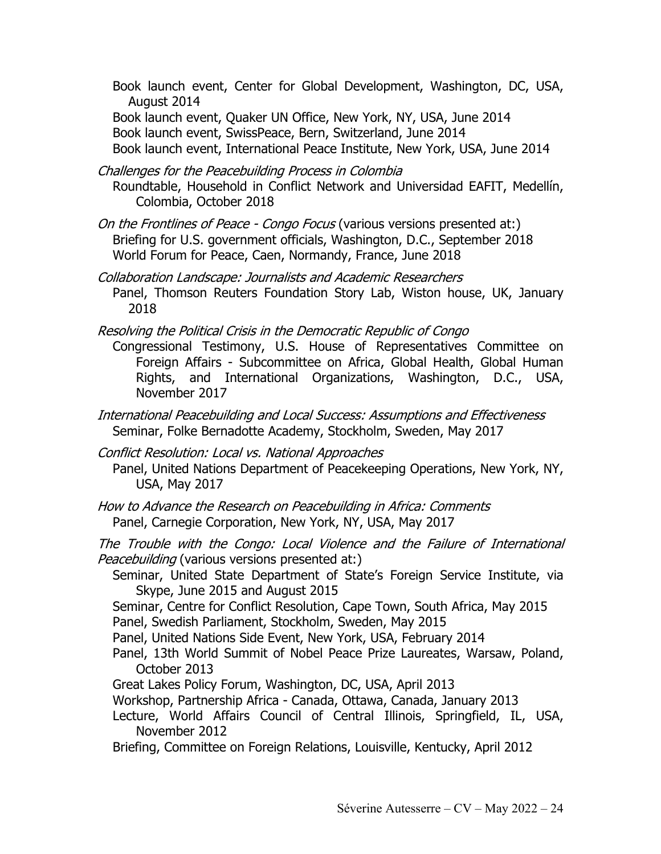Book launch event, Center for Global Development, Washington, DC, USA, August 2014 Book launch event, Quaker UN Office, New York, NY, USA, June 2014 Book launch event, SwissPeace, Bern, Switzerland, June 2014 Book launch event, International Peace Institute, New York, USA, June 2014

Challenges for the Peacebuilding Process in Colombia Roundtable, Household in Conflict Network and Universidad EAFIT, Medellín, Colombia, October 2018

On the Frontlines of Peace - Congo Focus (various versions presented at:) Briefing for U.S. government officials, Washington, D.C., September 2018 World Forum for Peace, Caen, Normandy, France, June 2018

Collaboration Landscape: Journalists and Academic Researchers Panel, Thomson Reuters Foundation Story Lab, Wiston house, UK, January 2018

Resolving the Political Crisis in the Democratic Republic of Congo

Congressional Testimony, U.S. House of Representatives Committee on Foreign Affairs - Subcommittee on Africa, Global Health, Global Human Rights, and International Organizations, Washington, D.C., USA, November 2017

International Peacebuilding and Local Success: Assumptions and Effectiveness Seminar, Folke Bernadotte Academy, Stockholm, Sweden, May 2017

Conflict Resolution: Local vs. National Approaches Panel, United Nations Department of Peacekeeping Operations, New York, NY, USA, May 2017

How to Advance the Research on Peacebuilding in Africa: Comments Panel, Carnegie Corporation, New York, NY, USA, May 2017

The Trouble with the Congo: Local Violence and the Failure of International Peacebuilding (various versions presented at:)

Seminar, United State Department of State's Foreign Service Institute, via Skype, June 2015 and August 2015

Seminar, Centre for Conflict Resolution, Cape Town, South Africa, May 2015 Panel, Swedish Parliament, Stockholm, Sweden, May 2015

Panel, United Nations Side Event, New York, USA, February 2014

Panel, 13th World Summit of Nobel Peace Prize Laureates, Warsaw, Poland, October 2013

Great Lakes Policy Forum, Washington, DC, USA, April 2013

Workshop, Partnership Africa - Canada, Ottawa, Canada, January 2013

Lecture, World Affairs Council of Central Illinois, Springfield, IL, USA, November 2012

Briefing, Committee on Foreign Relations, Louisville, Kentucky, April 2012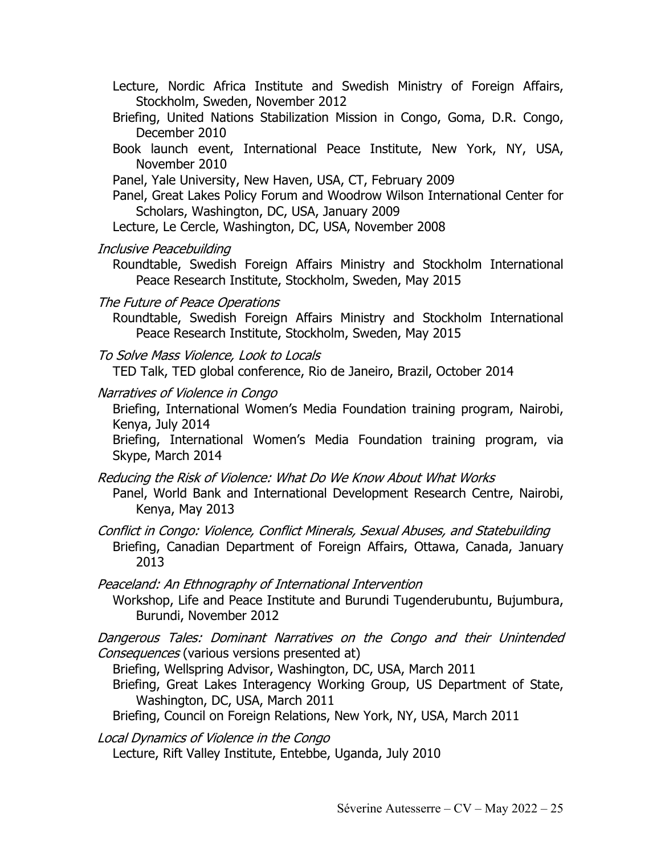- Lecture, Nordic Africa Institute and Swedish Ministry of Foreign Affairs, Stockholm, Sweden, November 2012
- Briefing, United Nations Stabilization Mission in Congo, Goma, D.R. Congo, December 2010
- Book launch event, International Peace Institute, New York, NY, USA, November 2010
- Panel, Yale University, New Haven, USA, CT, February 2009
- Panel, Great Lakes Policy Forum and Woodrow Wilson International Center for Scholars, Washington, DC, USA, January 2009
- Lecture, Le Cercle, Washington, DC, USA, November 2008
- Inclusive Peacebuilding
	- Roundtable, Swedish Foreign Affairs Ministry and Stockholm International Peace Research Institute, Stockholm, Sweden, May 2015
- The Future of Peace Operations
	- Roundtable, Swedish Foreign Affairs Ministry and Stockholm International Peace Research Institute, Stockholm, Sweden, May 2015
- To Solve Mass Violence, Look to Locals

TED Talk, TED global conference, Rio de Janeiro, Brazil, October 2014

Narratives of Violence in Congo

Briefing, International Women's Media Foundation training program, Nairobi, Kenya, July 2014

Briefing, International Women's Media Foundation training program, via Skype, March 2014

- Reducing the Risk of Violence: What Do We Know About What Works Panel, World Bank and International Development Research Centre, Nairobi, Kenya, May 2013
- Conflict in Congo: Violence, Conflict Minerals, Sexual Abuses, and Statebuilding Briefing, Canadian Department of Foreign Affairs, Ottawa, Canada, January 2013

Peaceland: An Ethnography of International Intervention

Workshop, Life and Peace Institute and Burundi Tugenderubuntu, Bujumbura, Burundi, November 2012

Dangerous Tales: Dominant Narratives on the Congo and their Unintended Consequences (various versions presented at)

Briefing, Wellspring Advisor, Washington, DC, USA, March 2011

Briefing, Great Lakes Interagency Working Group, US Department of State, Washington, DC, USA, March 2011

Briefing, Council on Foreign Relations, New York, NY, USA, March 2011

Local Dynamics of Violence in the Congo

Lecture, Rift Valley Institute, Entebbe, Uganda, July 2010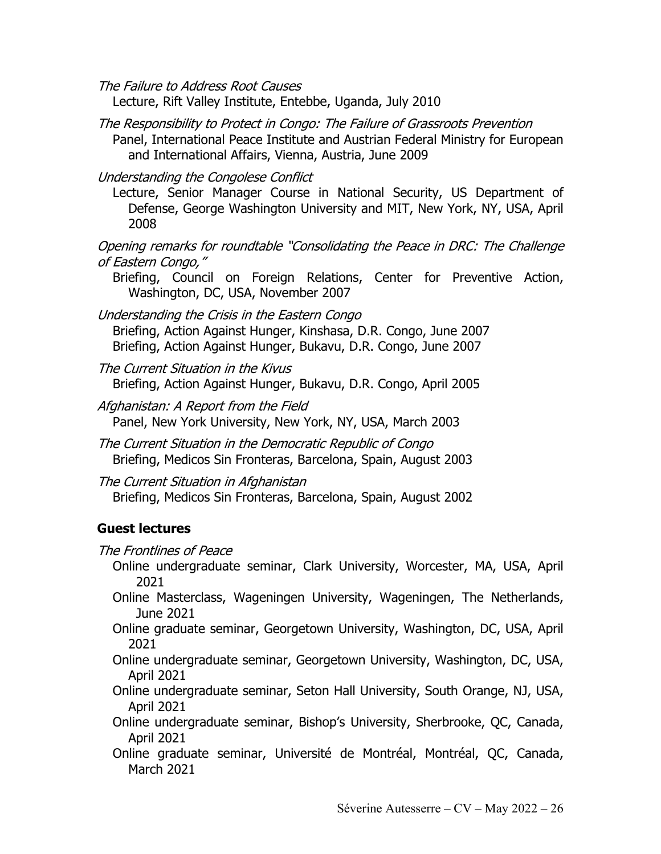The Failure to Address Root Causes

Lecture, Rift Valley Institute, Entebbe, Uganda, July 2010

- The Responsibility to Protect in Congo: The Failure of Grassroots Prevention Panel, International Peace Institute and Austrian Federal Ministry for European and International Affairs, Vienna, Austria, June 2009
- Understanding the Congolese Conflict
	- Lecture, Senior Manager Course in National Security, US Department of Defense, George Washington University and MIT, New York, NY, USA, April 2008

Opening remarks for roundtable "Consolidating the Peace in DRC: The Challenge of Eastern Congo,"

Briefing, Council on Foreign Relations, Center for Preventive Action, Washington, DC, USA, November 2007

Understanding the Crisis in the Eastern Congo Briefing, Action Against Hunger, Kinshasa, D.R. Congo, June 2007 Briefing, Action Against Hunger, Bukavu, D.R. Congo, June 2007

The Current Situation in the Kivus Briefing, Action Against Hunger, Bukavu, D.R. Congo, April 2005

- Afghanistan: A Report from the Field Panel, New York University, New York, NY, USA, March 2003
- The Current Situation in the Democratic Republic of Congo Briefing, Medicos Sin Fronteras, Barcelona, Spain, August 2003

The Current Situation in Afghanistan Briefing, Medicos Sin Fronteras, Barcelona, Spain, August 2002

### **Guest lectures**

The Frontlines of Peace

Online undergraduate seminar, Clark University, Worcester, MA, USA, April 2021

Online Masterclass, Wageningen University, Wageningen, The Netherlands, June 2021

Online graduate seminar, Georgetown University, Washington, DC, USA, April 2021

Online undergraduate seminar, Georgetown University, Washington, DC, USA, April 2021

Online undergraduate seminar, Seton Hall University, South Orange, NJ, USA, April 2021

Online undergraduate seminar, Bishop's University, Sherbrooke, QC, Canada, April 2021

Online graduate seminar, Université de Montréal, Montréal, QC, Canada, March 2021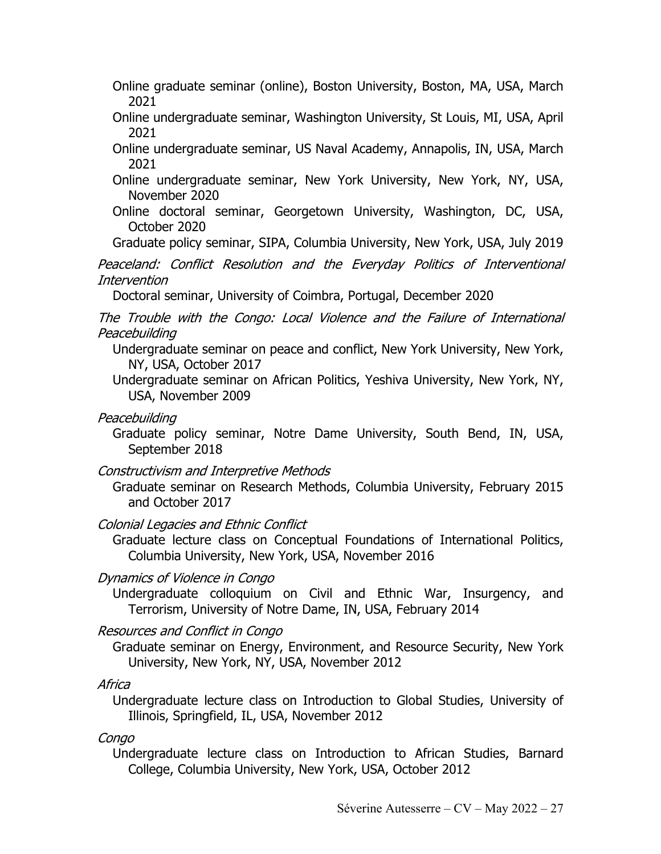Online graduate seminar (online), Boston University, Boston, MA, USA, March 2021

- Online undergraduate seminar, Washington University, St Louis, MI, USA, April 2021
- Online undergraduate seminar, US Naval Academy, Annapolis, IN, USA, March 2021
- Online undergraduate seminar, New York University, New York, NY, USA, November 2020
- Online doctoral seminar, Georgetown University, Washington, DC, USA, October 2020

Graduate policy seminar, SIPA, Columbia University, New York, USA, July 2019

Peaceland: Conflict Resolution and the Everyday Politics of Interventional Intervention

Doctoral seminar, University of Coimbra, Portugal, December 2020

The Trouble with the Congo: Local Violence and the Failure of International Peacebuilding

Undergraduate seminar on peace and conflict, New York University, New York, NY, USA, October 2017

Undergraduate seminar on African Politics, Yeshiva University, New York, NY, USA, November 2009

Peacebuilding

Graduate policy seminar, Notre Dame University, South Bend, IN, USA, September 2018

Constructivism and Interpretive Methods

Graduate seminar on Research Methods, Columbia University, February 2015 and October 2017

Colonial Legacies and Ethnic Conflict

Graduate lecture class on Conceptual Foundations of International Politics, Columbia University, New York, USA, November 2016

Dynamics of Violence in Congo

Undergraduate colloquium on Civil and Ethnic War, Insurgency, and Terrorism, University of Notre Dame, IN, USA, February 2014

Resources and Conflict in Congo

Graduate seminar on Energy, Environment, and Resource Security, New York University, New York, NY, USA, November 2012

Africa

Undergraduate lecture class on Introduction to Global Studies, University of Illinois, Springfield, IL, USA, November 2012

Congo

Undergraduate lecture class on Introduction to African Studies, Barnard College, Columbia University, New York, USA, October 2012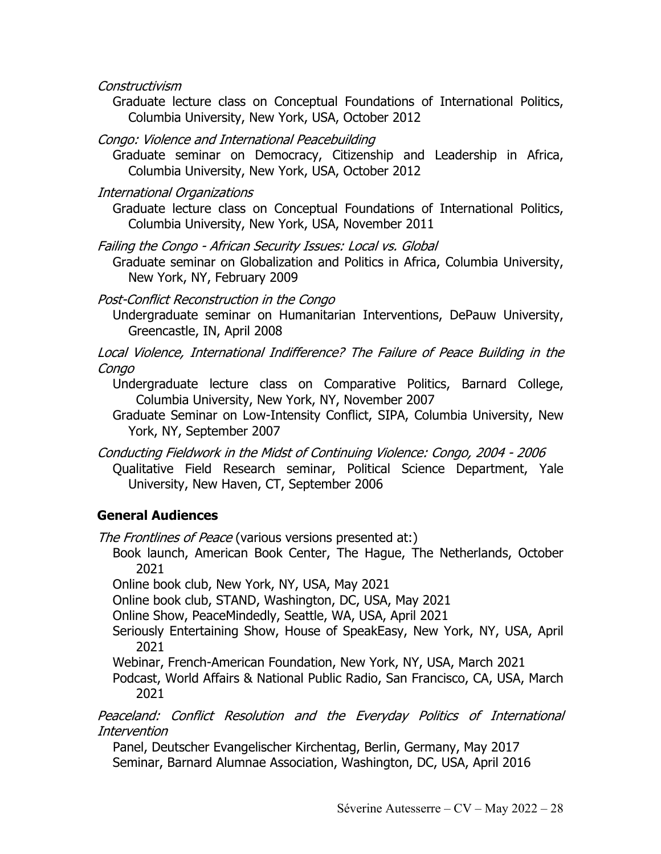Constructivism

Graduate lecture class on Conceptual Foundations of International Politics, Columbia University, New York, USA, October 2012

Congo: Violence and International Peacebuilding

Graduate seminar on Democracy, Citizenship and Leadership in Africa, Columbia University, New York, USA, October 2012

International Organizations

Graduate lecture class on Conceptual Foundations of International Politics, Columbia University, New York, USA, November 2011

Failing the Congo - African Security Issues: Local vs. Global

Graduate seminar on Globalization and Politics in Africa, Columbia University, New York, NY, February 2009

Post-Conflict Reconstruction in the Congo

Undergraduate seminar on Humanitarian Interventions, DePauw University, Greencastle, IN, April 2008

Local Violence, International Indifference? The Failure of Peace Building in the Congo

Undergraduate lecture class on Comparative Politics, Barnard College, Columbia University, New York, NY, November 2007

Graduate Seminar on Low-Intensity Conflict, SIPA, Columbia University, New York, NY, September 2007

Conducting Fieldwork in the Midst of Continuing Violence: Congo, 2004 - 2006 Qualitative Field Research seminar, Political Science Department, Yale University, New Haven, CT, September 2006

## **General Audiences**

The Frontlines of Peace (various versions presented at:)

Book launch, American Book Center, The Hague, The Netherlands, October 2021

Online book club, New York, NY, USA, May 2021

Online book club, STAND, Washington, DC, USA, May 2021

Online Show, PeaceMindedly, Seattle, WA, USA, April 2021

Seriously Entertaining Show, House of SpeakEasy, New York, NY, USA, April 2021

Webinar, French-American Foundation, New York, NY, USA, March 2021

Podcast, World Affairs & National Public Radio, San Francisco, CA, USA, March 2021

Peaceland: Conflict Resolution and the Everyday Politics of International Intervention

Panel, Deutscher Evangelischer Kirchentag, Berlin, Germany, May 2017 Seminar, Barnard Alumnae Association, Washington, DC, USA, April 2016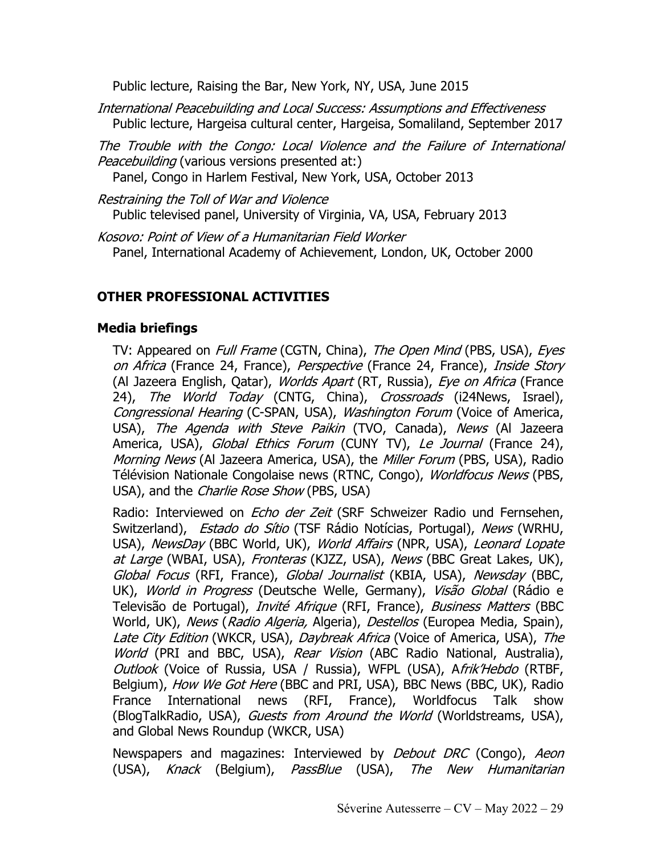Public lecture, Raising the Bar, New York, NY, USA, June 2015

International Peacebuilding and Local Success: Assumptions and Effectiveness Public lecture, Hargeisa cultural center, Hargeisa, Somaliland, September 2017

The Trouble with the Congo: Local Violence and the Failure of International Peacebuilding (various versions presented at:)

Panel, Congo in Harlem Festival, New York, USA, October 2013

Restraining the Toll of War and Violence Public televised panel, University of Virginia, VA, USA, February 2013

Kosovo: Point of View of a Humanitarian Field Worker Panel, International Academy of Achievement, London, UK, October 2000

## **OTHER PROFESSIONAL ACTIVITIES**

#### **Media briefings**

TV: Appeared on *Full Frame* (CGTN, China), The Open Mind (PBS, USA), Eyes on Africa (France 24, France), Perspective (France 24, France), Inside Story (Al Jazeera English, Qatar), Worlds Apart (RT, Russia), Eye on Africa (France 24), The World Today (CNTG, China), Crossroads (i24News, Israel), Congressional Hearing (C-SPAN, USA), Washington Forum (Voice of America, USA), The Agenda with Steve Paikin (TVO, Canada), News (Al Jazeera America, USA), Global Ethics Forum (CUNY TV), Le Journal (France 24), Morning News (Al Jazeera America, USA), the Miller Forum (PBS, USA), Radio Télévision Nationale Congolaise news (RTNC, Congo), Worldfocus News (PBS, USA), and the *Charlie Rose Show* (PBS, USA)

Radio: Interviewed on *Echo der Zeit* (SRF Schweizer Radio und Fernsehen, Switzerland), Estado do Sítio (TSF Rádio Notícias, Portugal), News (WRHU, USA), NewsDay (BBC World, UK), World Affairs (NPR, USA), Leonard Lopate at Large (WBAI, USA), Fronteras (KJZZ, USA), News (BBC Great Lakes, UK), Global Focus (RFI, France), Global Journalist (KBIA, USA), Newsday (BBC, UK), World in Progress (Deutsche Welle, Germany), Visão Global (Rádio e Televisão de Portugal), *Invité Afrique* (RFI, France), *Business Matters* (BBC World, UK), News (Radio Algeria, Algeria), Destellos (Europea Media, Spain), Late City Edition (WKCR, USA), Daybreak Africa (Voice of America, USA), The World (PRI and BBC, USA), Rear Vision (ABC Radio National, Australia), Outlook (Voice of Russia, USA / Russia), WFPL (USA), Afrik'Hebdo (RTBF, Belgium), How We Got Here (BBC and PRI, USA), BBC News (BBC, UK), Radio France International news (RFI, France), Worldfocus Talk show (BlogTalkRadio, USA), Guests from Around the World (Worldstreams, USA), and Global News Roundup (WKCR, USA)

Newspapers and magazines: Interviewed by *Debout DRC* (Congo), Aeon (USA), Knack (Belgium), PassBlue (USA), The New Humanitarian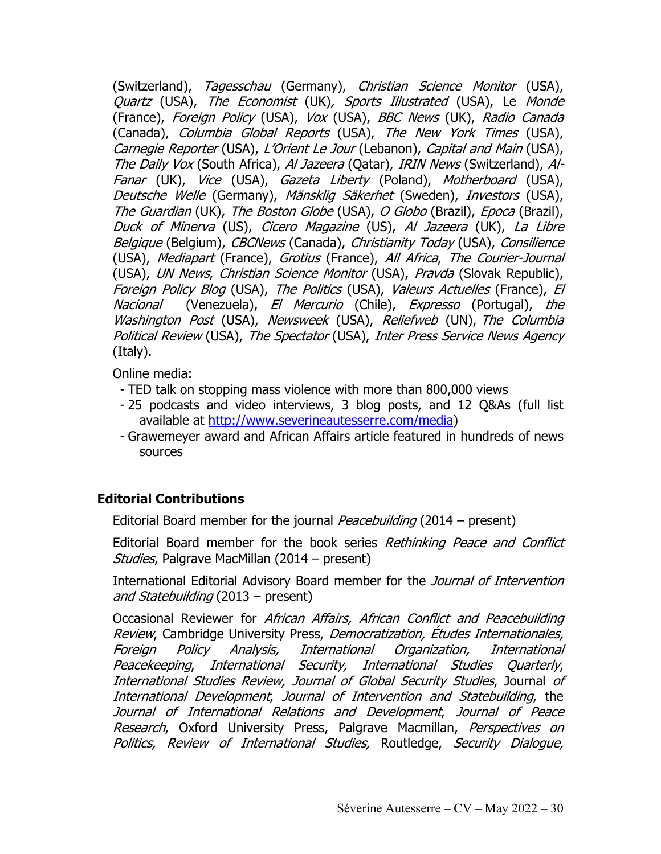(Switzerland), Tagesschau (Germany), Christian Science Monitor (USA), Quartz (USA), The Economist (UK), Sports Illustrated (USA), Le Monde (France), Foreign Policy (USA), Vox (USA), BBC News (UK), Radio Canada (Canada), Columbia Global Reports (USA), The New York Times (USA), Carnegie Reporter (USA), L'Orient Le Jour (Lebanon), Capital and Main (USA), The Daily Vox (South Africa), Al Jazeera (Qatar), IRIN News (Switzerland), Al-Fanar (UK), Vice (USA), Gazeta Liberty (Poland), Motherboard (USA), Deutsche Welle (Germany), Mänsklig Säkerhet (Sweden), Investors (USA), The Guardian (UK), The Boston Globe (USA), O Globo (Brazil), Epoca (Brazil), Duck of Minerva (US), Cicero Magazine (US), Al Jazeera (UK), La Libre Belgique (Belgium), CBCNews (Canada), Christianity Today (USA), Consilience (USA), Mediapart (France), Grotius (France), All Africa, The Courier-Journal (USA), UN News, Christian Science Monitor (USA), Pravda (Slovak Republic), Foreign Policy Blog (USA), The Politics (USA), Valeurs Actuelles (France), El Nacional (Venezuela), El Mercurio (Chile), Expresso (Portugal), the Washington Post (USA), Newsweek (USA), Reliefweb (UN), The Columbia Political Review (USA), The Spectator (USA), Inter Press Service News Agency (Italy).

Online media:

- TED talk on stopping mass violence with more than 800,000 views
- 25 podcasts and video interviews, 3 blog posts, and 12 Q&As (full list available at http://www.severineautesserre.com/media)
- Grawemeyer award and African Affairs article featured in hundreds of news sources

## **Editorial Contributions**

Editorial Board member for the journal *Peacebuilding* (2014 – present)

Editorial Board member for the book series Rethinking Peace and Conflict Studies, Palgrave MacMillan (2014 – present)

International Editorial Advisory Board member for the Journal of Intervention and Statebuilding (2013 – present)

Occasional Reviewer for African Affairs, African Conflict and Peacebuilding Review, Cambridge University Press, Democratization, Études Internationales, Foreign Policy Analysis, International Organization, International Peacekeeping, International Security, International Studies Quarterly, International Studies Review, Journal of Global Security Studies, Journal of International Development, Journal of Intervention and Statebuilding, the Journal of International Relations and Development, Journal of Peace Research, Oxford University Press, Palgrave Macmillan, Perspectives on Politics, Review of International Studies, Routledge, Security Dialogue,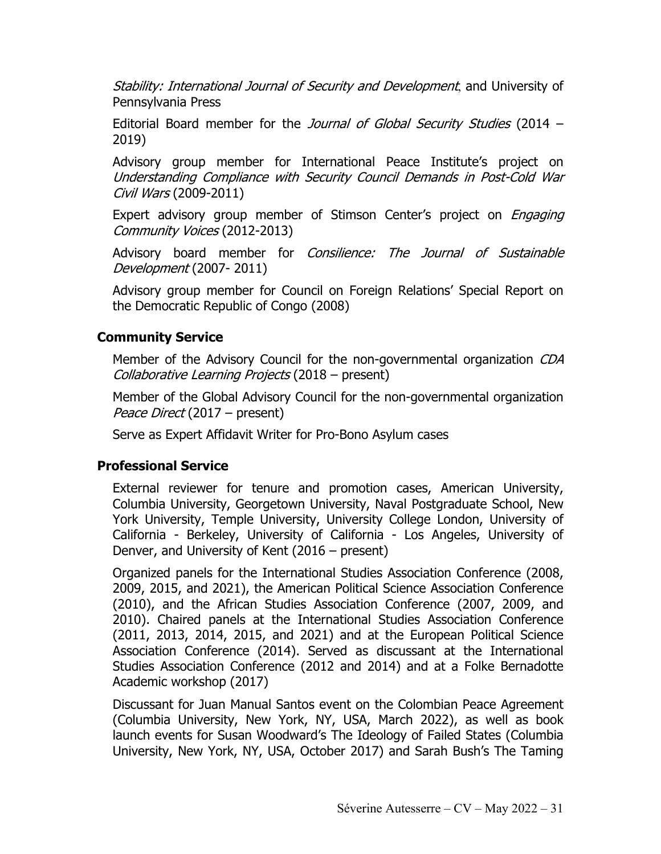Stability: International Journal of Security and Development, and University of Pennsylvania Press

Editorial Board member for the Journal of Global Security Studies (2014 – 2019)

Advisory group member for International Peace Institute's project on Understanding Compliance with Security Council Demands in Post-Cold War Civil Wars (2009-2011)

Expert advisory group member of Stimson Center's project on *Engaging* Community Voices (2012-2013)

Advisory board member for Consilience: The Journal of Sustainable Development (2007- 2011)

Advisory group member for Council on Foreign Relations' Special Report on the Democratic Republic of Congo (2008)

## **Community Service**

Member of the Advisory Council for the non-governmental organization CDA Collaborative Learning Projects (2018 – present)

Member of the Global Advisory Council for the non-governmental organization Peace Direct (2017 – present)

Serve as Expert Affidavit Writer for Pro-Bono Asylum cases

### **Professional Service**

External reviewer for tenure and promotion cases, American University, Columbia University, Georgetown University, Naval Postgraduate School, New York University, Temple University, University College London, University of California - Berkeley, University of California - Los Angeles, University of Denver, and University of Kent (2016 – present)

Organized panels for the International Studies Association Conference (2008, 2009, 2015, and 2021), the American Political Science Association Conference (2010), and the African Studies Association Conference (2007, 2009, and 2010). Chaired panels at the International Studies Association Conference (2011, 2013, 2014, 2015, and 2021) and at the European Political Science Association Conference (2014). Served as discussant at the International Studies Association Conference (2012 and 2014) and at a Folke Bernadotte Academic workshop (2017)

Discussant for Juan Manual Santos event on the Colombian Peace Agreement (Columbia University, New York, NY, USA, March 2022), as well as book launch events for Susan Woodward's The Ideology of Failed States (Columbia University, New York, NY, USA, October 2017) and Sarah Bush's The Taming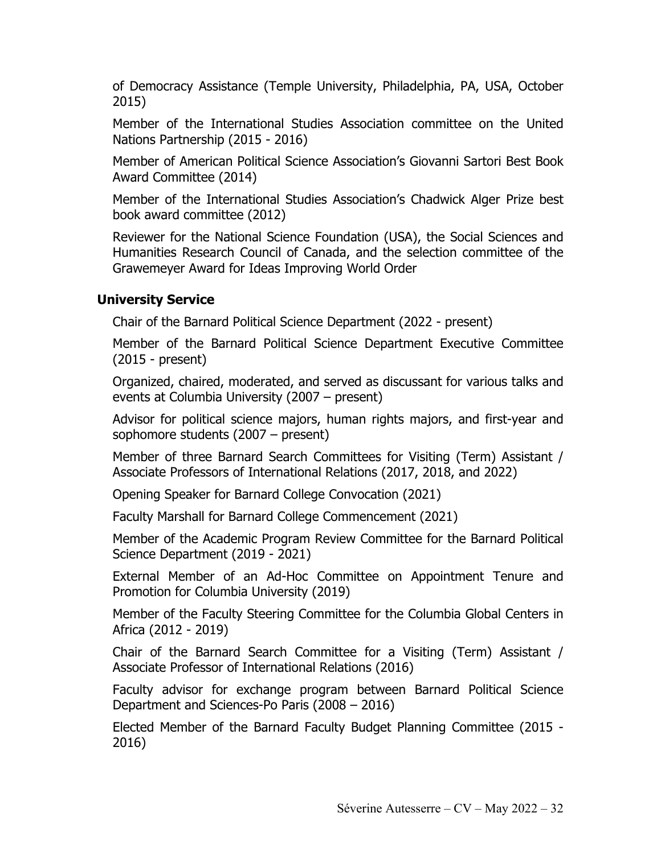of Democracy Assistance (Temple University, Philadelphia, PA, USA, October 2015)

Member of the International Studies Association committee on the United Nations Partnership (2015 - 2016)

Member of American Political Science Association's Giovanni Sartori Best Book Award Committee (2014)

Member of the International Studies Association's Chadwick Alger Prize best book award committee (2012)

Reviewer for the National Science Foundation (USA), the Social Sciences and Humanities Research Council of Canada, and the selection committee of the Grawemeyer Award for Ideas Improving World Order

### **University Service**

Chair of the Barnard Political Science Department (2022 - present)

Member of the Barnard Political Science Department Executive Committee (2015 - present)

Organized, chaired, moderated, and served as discussant for various talks and events at Columbia University (2007 – present)

Advisor for political science majors, human rights majors, and first-year and sophomore students (2007 – present)

Member of three Barnard Search Committees for Visiting (Term) Assistant / Associate Professors of International Relations (2017, 2018, and 2022)

Opening Speaker for Barnard College Convocation (2021)

Faculty Marshall for Barnard College Commencement (2021)

Member of the Academic Program Review Committee for the Barnard Political Science Department (2019 - 2021)

External Member of an Ad-Hoc Committee on Appointment Tenure and Promotion for Columbia University (2019)

Member of the Faculty Steering Committee for the Columbia Global Centers in Africa (2012 - 2019)

Chair of the Barnard Search Committee for a Visiting (Term) Assistant / Associate Professor of International Relations (2016)

Faculty advisor for exchange program between Barnard Political Science Department and Sciences-Po Paris (2008 – 2016)

Elected Member of the Barnard Faculty Budget Planning Committee (2015 - 2016)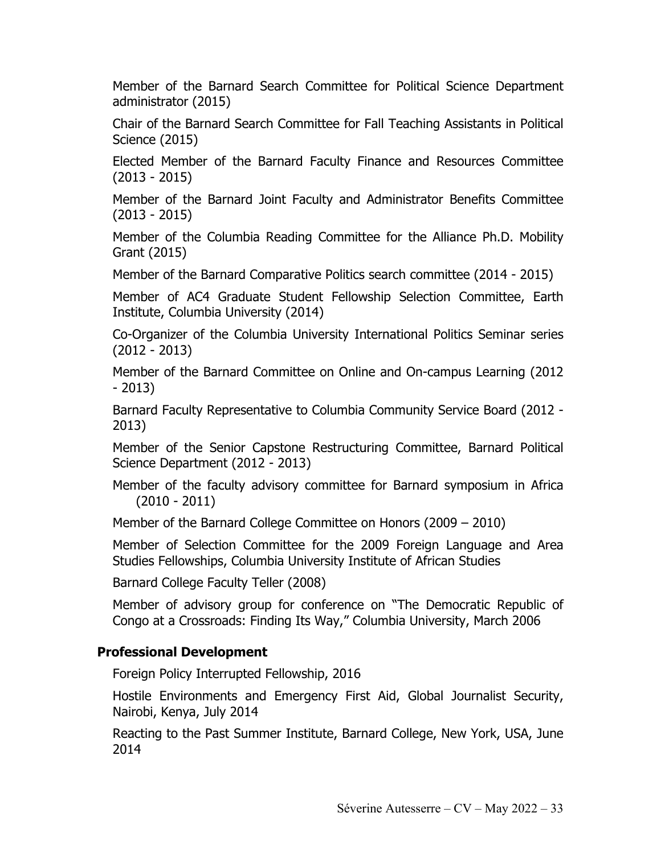Member of the Barnard Search Committee for Political Science Department administrator (2015)

Chair of the Barnard Search Committee for Fall Teaching Assistants in Political Science (2015)

Elected Member of the Barnard Faculty Finance and Resources Committee (2013 - 2015)

Member of the Barnard Joint Faculty and Administrator Benefits Committee (2013 - 2015)

Member of the Columbia Reading Committee for the Alliance Ph.D. Mobility Grant (2015)

Member of the Barnard Comparative Politics search committee (2014 - 2015)

Member of AC4 Graduate Student Fellowship Selection Committee, Earth Institute, Columbia University (2014)

Co-Organizer of the Columbia University International Politics Seminar series (2012 - 2013)

Member of the Barnard Committee on Online and On-campus Learning (2012 - 2013)

Barnard Faculty Representative to Columbia Community Service Board (2012 - 2013)

Member of the Senior Capstone Restructuring Committee, Barnard Political Science Department (2012 - 2013)

Member of the faculty advisory committee for Barnard symposium in Africa (2010 - 2011)

Member of the Barnard College Committee on Honors (2009 – 2010)

Member of Selection Committee for the 2009 Foreign Language and Area Studies Fellowships, Columbia University Institute of African Studies

Barnard College Faculty Teller (2008)

Member of advisory group for conference on "The Democratic Republic of Congo at a Crossroads: Finding Its Way," Columbia University, March 2006

### **Professional Development**

Foreign Policy Interrupted Fellowship, 2016

Hostile Environments and Emergency First Aid, Global Journalist Security, Nairobi, Kenya, July 2014

Reacting to the Past Summer Institute, Barnard College, New York, USA, June 2014